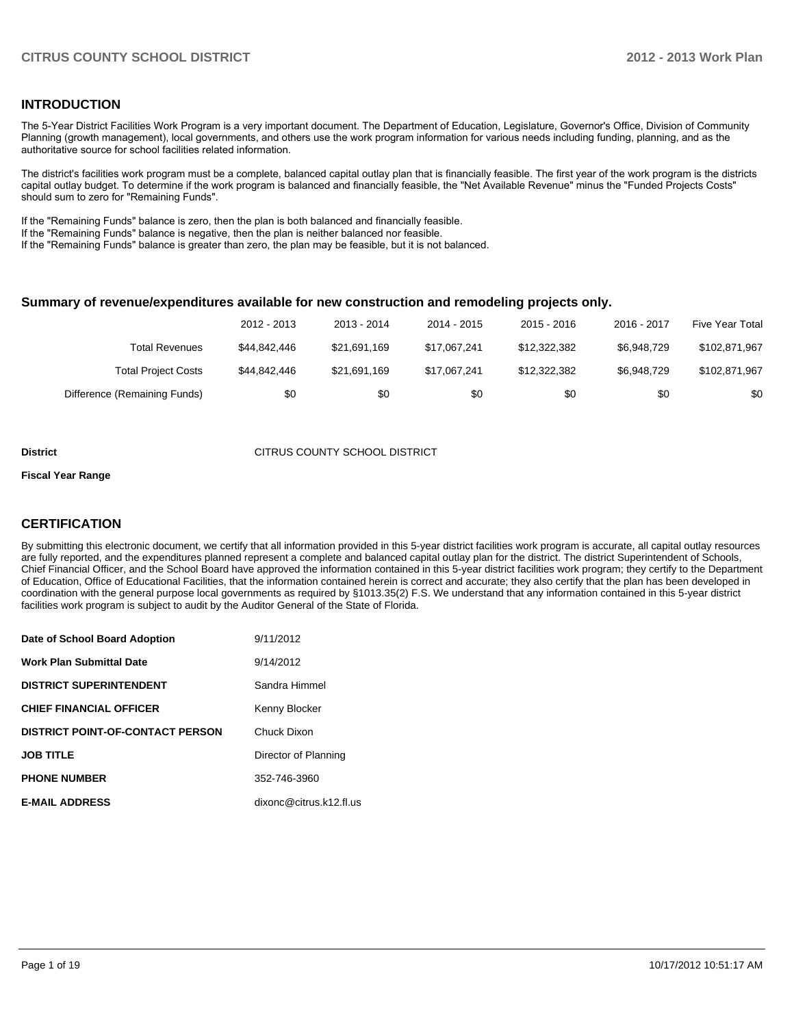## **INTRODUCTION**

The 5-Year District Facilities Work Program is a very important document. The Department of Education, Legislature, Governor's Office, Division of Community Planning (growth management), local governments, and others use the work program information for various needs including funding, planning, and as the authoritative source for school facilities related information.

The district's facilities work program must be a complete, balanced capital outlay plan that is financially feasible. The first year of the work program is the districts capital outlay budget. To determine if the work program is balanced and financially feasible, the "Net Available Revenue" minus the "Funded Projects Costs" should sum to zero for "Remaining Funds".

If the "Remaining Funds" balance is zero, then the plan is both balanced and financially feasible.

If the "Remaining Funds" balance is negative, then the plan is neither balanced nor feasible.

If the "Remaining Funds" balance is greater than zero, the plan may be feasible, but it is not balanced.

#### **Summary of revenue/expenditures available for new construction and remodeling projects only.**

|                              | 2012 - 2013  | 2013 - 2014  | 2014 - 2015  | $2015 - 2016$ | 2016 - 2017 | Five Year Total |
|------------------------------|--------------|--------------|--------------|---------------|-------------|-----------------|
| <b>Total Revenues</b>        | \$44,842,446 | \$21.691.169 | \$17.067.241 | \$12.322.382  | \$6.948.729 | \$102,871,967   |
| <b>Total Project Costs</b>   | \$44,842,446 | \$21,691,169 | \$17.067.241 | \$12.322.382  | \$6.948.729 | \$102,871,967   |
| Difference (Remaining Funds) | \$0          | \$0          | \$0          | \$0           | \$0         | \$0             |

#### **District CITRUS COUNTY SCHOOL DISTRICT**

#### **Fiscal Year Range**

## **CERTIFICATION**

By submitting this electronic document, we certify that all information provided in this 5-year district facilities work program is accurate, all capital outlay resources are fully reported, and the expenditures planned represent a complete and balanced capital outlay plan for the district. The district Superintendent of Schools, Chief Financial Officer, and the School Board have approved the information contained in this 5-year district facilities work program; they certify to the Department of Education, Office of Educational Facilities, that the information contained herein is correct and accurate; they also certify that the plan has been developed in coordination with the general purpose local governments as required by §1013.35(2) F.S. We understand that any information contained in this 5-year district facilities work program is subject to audit by the Auditor General of the State of Florida.

| Date of School Board Adoption           | 9/11/2012               |
|-----------------------------------------|-------------------------|
| <b>Work Plan Submittal Date</b>         | 9/14/2012               |
| <b>DISTRICT SUPERINTENDENT</b>          | Sandra Himmel           |
| <b>CHIEF FINANCIAL OFFICER</b>          | Kenny Blocker           |
| <b>DISTRICT POINT-OF-CONTACT PERSON</b> | Chuck Dixon             |
| <b>JOB TITLE</b>                        | Director of Planning    |
| <b>PHONE NUMBER</b>                     | 352-746-3960            |
| <b>E-MAIL ADDRESS</b>                   | dixonc@citrus.k12.fl.us |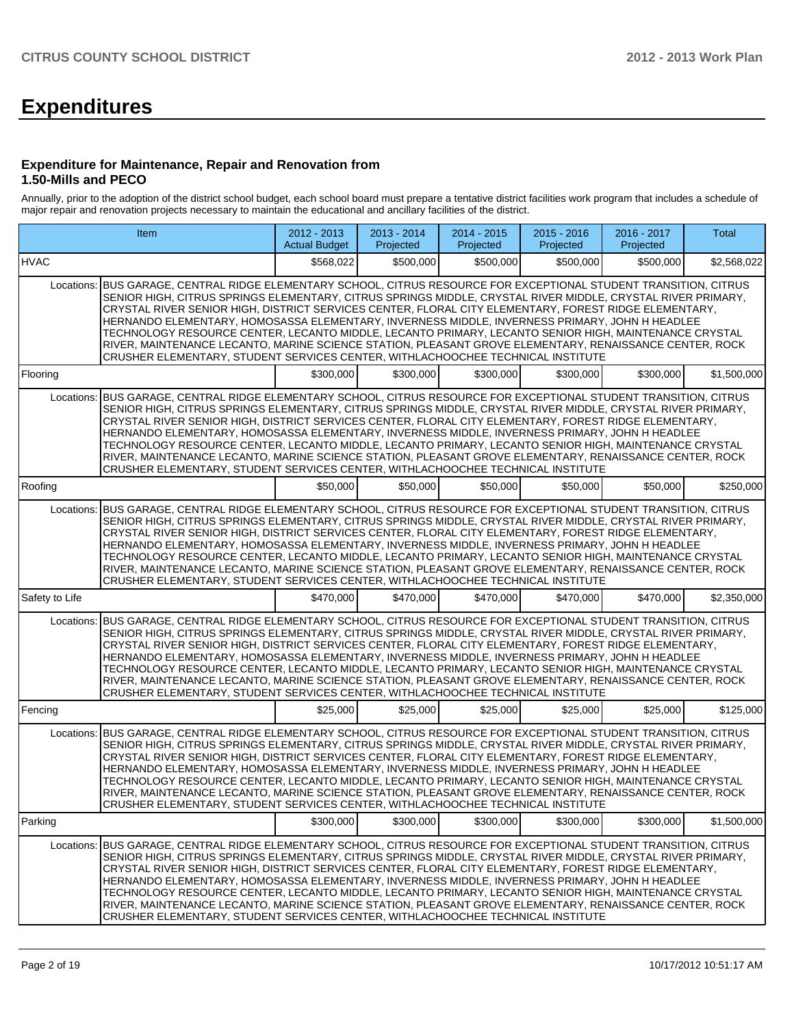# **Expenditures**

#### **Expenditure for Maintenance, Repair and Renovation from 1.50-Mills and PECO**

Annually, prior to the adoption of the district school budget, each school board must prepare a tentative district facilities work program that includes a schedule of major repair and renovation projects necessary to maintain the educational and ancillary facilities of the district.

|                | Item                                                                                                                                                                                                                                                                                                                                                                                                                                                                                                                                                                                                                                                                                                                                     |           | 2013 - 2014<br>Projected | 2014 - 2015<br>Projected | $2015 - 2016$<br>Projected | 2016 - 2017<br>Projected | Total       |
|----------------|------------------------------------------------------------------------------------------------------------------------------------------------------------------------------------------------------------------------------------------------------------------------------------------------------------------------------------------------------------------------------------------------------------------------------------------------------------------------------------------------------------------------------------------------------------------------------------------------------------------------------------------------------------------------------------------------------------------------------------------|-----------|--------------------------|--------------------------|----------------------------|--------------------------|-------------|
| <b>HVAC</b>    |                                                                                                                                                                                                                                                                                                                                                                                                                                                                                                                                                                                                                                                                                                                                          | \$568,022 | \$500,000                | \$500,000                | \$500,000                  | \$500,000                | \$2,568,022 |
| Locations:     | BUS GARAGE, CENTRAL RIDGE ELEMENTARY SCHOOL, CITRUS RESOURCE FOR EXCEPTIONAL STUDENT TRANSITION, CITRUS<br>SENIOR HIGH, CITRUS SPRINGS ELEMENTARY, CITRUS SPRINGS MIDDLE, CRYSTAL RIVER MIDDLE, CRYSTAL RIVER PRIMARY,<br>CRYSTAL RIVER SENIOR HIGH, DISTRICT SERVICES CENTER, FLORAL CITY ELEMENTARY, FOREST RIDGE ELEMENTARY,<br>HERNANDO ELEMENTARY, HOMOSASSA ELEMENTARY, INVERNESS MIDDLE, INVERNESS PRIMARY, JOHN H HEADLEE<br>TECHNOLOGY RESOURCE CENTER, LECANTO MIDDLE, LECANTO PRIMARY, LECANTO SENIOR HIGH, MAINTENANCE CRYSTAL<br>RIVER, MAINTENANCE LECANTO, MARINE SCIENCE STATION, PLEASANT GROVE ELEMENTARY, RENAISSANCE CENTER, ROCK<br>CRUSHER ELEMENTARY, STUDENT SERVICES CENTER, WITHLACHOOCHEE TECHNICAL INSTITUTE |           |                          |                          |                            |                          |             |
| Flooring       |                                                                                                                                                                                                                                                                                                                                                                                                                                                                                                                                                                                                                                                                                                                                          | \$300,000 | \$300,000                | \$300,000                | \$300,000                  | \$300,000                | \$1,500,000 |
| Locations:     | BUS GARAGE, CENTRAL RIDGE ELEMENTARY SCHOOL, CITRUS RESOURCE FOR EXCEPTIONAL STUDENT TRANSITION, CITRUS<br>SENIOR HIGH, CITRUS SPRINGS ELEMENTARY, CITRUS SPRINGS MIDDLE, CRYSTAL RIVER MIDDLE, CRYSTAL RIVER PRIMARY,<br>CRYSTAL RIVER SENIOR HIGH, DISTRICT SERVICES CENTER, FLORAL CITY ELEMENTARY, FOREST RIDGE ELEMENTARY,<br>HERNANDO ELEMENTARY, HOMOSASSA ELEMENTARY, INVERNESS MIDDLE, INVERNESS PRIMARY, JOHN H HEADLEE<br>TECHNOLOGY RESOURCE CENTER, LECANTO MIDDLE, LECANTO PRIMARY, LECANTO SENIOR HIGH, MAINTENANCE CRYSTAL<br>RIVER, MAINTENANCE LECANTO, MARINE SCIENCE STATION, PLEASANT GROVE ELEMENTARY, RENAISSANCE CENTER, ROCK<br>CRUSHER ELEMENTARY, STUDENT SERVICES CENTER, WITHLACHOOCHEE TECHNICAL INSTITUTE |           |                          |                          |                            |                          |             |
| Roofing        |                                                                                                                                                                                                                                                                                                                                                                                                                                                                                                                                                                                                                                                                                                                                          | \$50,000  | \$50,000                 | \$50,000                 | \$50,000                   | \$50,000                 | \$250,000   |
| Locations:     | BUS GARAGE, CENTRAL RIDGE ELEMENTARY SCHOOL, CITRUS RESOURCE FOR EXCEPTIONAL STUDENT TRANSITION, CITRUS<br>SENIOR HIGH. CITRUS SPRINGS ELEMENTARY. CITRUS SPRINGS MIDDLE. CRYSTAL RIVER MIDDLE. CRYSTAL RIVER PRIMARY.<br>CRYSTAL RIVER SENIOR HIGH, DISTRICT SERVICES CENTER, FLORAL CITY ELEMENTARY, FOREST RIDGE ELEMENTARY,<br>HERNANDO ELEMENTARY, HOMOSASSA ELEMENTARY, INVERNESS MIDDLE, INVERNESS PRIMARY, JOHN H HEADLEE<br>TECHNOLOGY RESOURCE CENTER, LECANTO MIDDLE, LECANTO PRIMARY, LECANTO SENIOR HIGH, MAINTENANCE CRYSTAL<br>RIVER, MAINTENANCE LECANTO, MARINE SCIENCE STATION, PLEASANT GROVE ELEMENTARY, RENAISSANCE CENTER, ROCK<br>CRUSHER ELEMENTARY, STUDENT SERVICES CENTER, WITHLACHOOCHEE TECHNICAL INSTITUTE |           |                          |                          |                            |                          |             |
| Safety to Life |                                                                                                                                                                                                                                                                                                                                                                                                                                                                                                                                                                                                                                                                                                                                          | \$470,000 | \$470,000                | \$470,000                | \$470,000                  | \$470,000                | \$2,350,000 |
| Locations:     | BUS GARAGE, CENTRAL RIDGE ELEMENTARY SCHOOL, CITRUS RESOURCE FOR EXCEPTIONAL STUDENT TRANSITION, CITRUS<br>SENIOR HIGH, CITRUS SPRINGS ELEMENTARY, CITRUS SPRINGS MIDDLE, CRYSTAL RIVER MIDDLE, CRYSTAL RIVER PRIMARY,<br>CRYSTAL RIVER SENIOR HIGH, DISTRICT SERVICES CENTER, FLORAL CITY ELEMENTARY, FOREST RIDGE ELEMENTARY,<br>HERNANDO ELEMENTARY, HOMOSASSA ELEMENTARY, INVERNESS MIDDLE, INVERNESS PRIMARY, JOHN H HEADLEE<br>TECHNOLOGY RESOURCE CENTER, LECANTO MIDDLE, LECANTO PRIMARY, LECANTO SENIOR HIGH, MAINTENANCE CRYSTAL<br>RIVER, MAINTENANCE LECANTO, MARINE SCIENCE STATION, PLEASANT GROVE ELEMENTARY, RENAISSANCE CENTER, ROCK<br>CRUSHER ELEMENTARY, STUDENT SERVICES CENTER, WITHLACHOOCHEE TECHNICAL INSTITUTE |           |                          |                          |                            |                          |             |
| Fencing        |                                                                                                                                                                                                                                                                                                                                                                                                                                                                                                                                                                                                                                                                                                                                          | \$25,000  | \$25,000                 | \$25,000                 | \$25,000                   | \$25,000                 | \$125,000   |
| Locations:     | BUS GARAGE, CENTRAL RIDGE ELEMENTARY SCHOOL, CITRUS RESOURCE FOR EXCEPTIONAL STUDENT TRANSITION, CITRUS<br>SENIOR HIGH, CITRUS SPRINGS ELEMENTARY, CITRUS SPRINGS MIDDLE, CRYSTAL RIVER MIDDLE, CRYSTAL RIVER PRIMARY,<br>CRYSTAL RIVER SENIOR HIGH, DISTRICT SERVICES CENTER, FLORAL CITY ELEMENTARY, FOREST RIDGE ELEMENTARY,<br>HERNANDO ELEMENTARY, HOMOSASSA ELEMENTARY, INVERNESS MIDDLE, INVERNESS PRIMARY, JOHN H HEADLEE<br>TECHNOLOGY RESOURCE CENTER, LECANTO MIDDLE, LECANTO PRIMARY, LECANTO SENIOR HIGH, MAINTENANCE CRYSTAL<br>RIVER, MAINTENANCE LECANTO, MARINE SCIENCE STATION, PLEASANT GROVE ELEMENTARY, RENAISSANCE CENTER, ROCK<br>CRUSHER ELEMENTARY, STUDENT SERVICES CENTER, WITHLACHOOCHEE TECHNICAL INSTITUTE |           |                          |                          |                            |                          |             |
| Parking        |                                                                                                                                                                                                                                                                                                                                                                                                                                                                                                                                                                                                                                                                                                                                          | \$300,000 | \$300,000                | \$300,000                | \$300,000                  | \$300,000                | \$1,500,000 |
| Locations:     | BUS GARAGE, CENTRAL RIDGE ELEMENTARY SCHOOL, CITRUS RESOURCE FOR EXCEPTIONAL STUDENT TRANSITION, CITRUS<br>SENIOR HIGH, CITRUS SPRINGS ELEMENTARY, CITRUS SPRINGS MIDDLE, CRYSTAL RIVER MIDDLE, CRYSTAL RIVER PRIMARY,<br>CRYSTAL RIVER SENIOR HIGH, DISTRICT SERVICES CENTER, FLORAL CITY ELEMENTARY, FOREST RIDGE ELEMENTARY,<br>HERNANDO ELEMENTARY, HOMOSASSA ELEMENTARY, INVERNESS MIDDLE, INVERNESS PRIMARY, JOHN H HEADLEE<br>TECHNOLOGY RESOURCE CENTER, LECANTO MIDDLE, LECANTO PRIMARY, LECANTO SENIOR HIGH, MAINTENANCE CRYSTAL<br>RIVER, MAINTENANCE LECANTO, MARINE SCIENCE STATION, PLEASANT GROVE ELEMENTARY, RENAISSANCE CENTER, ROCK<br>CRUSHER ELEMENTARY, STUDENT SERVICES CENTER, WITHLACHOOCHEE TECHNICAL INSTITUTE |           |                          |                          |                            |                          |             |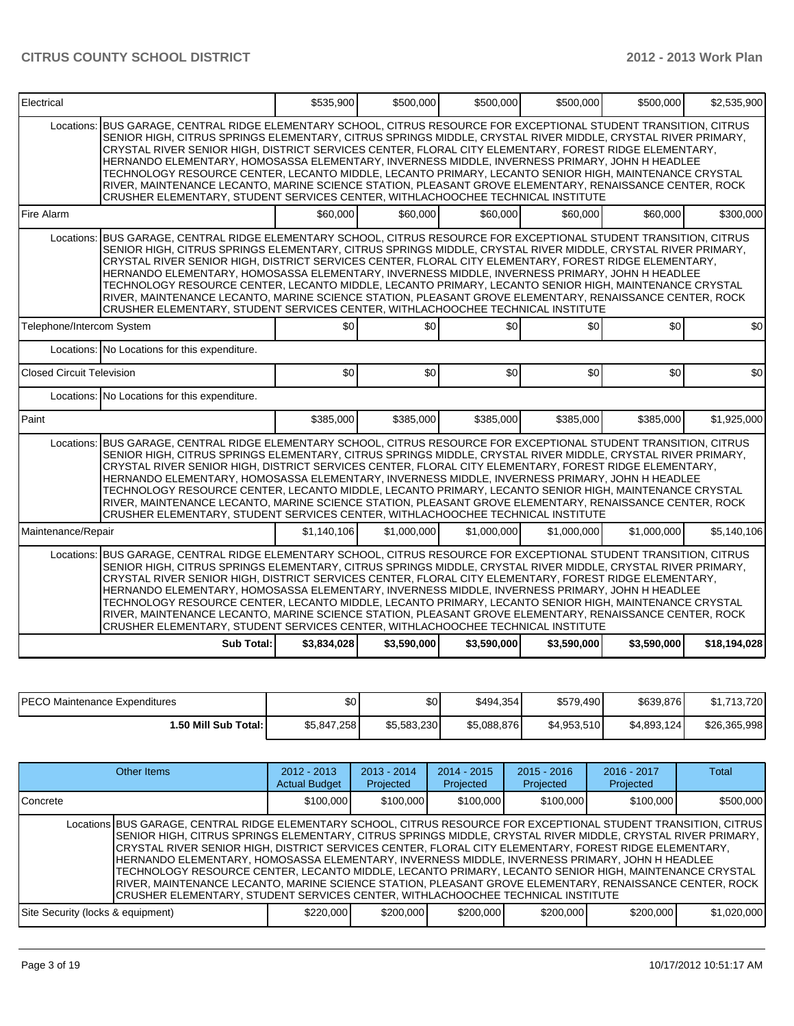# **CITRUS COUNTY SCHOOL DISTRICT 2012 - 2013 Work Plan**

| Electrical                       |                                                                                                                                                                                                                                                                                                                                                                                                                                                                                                                                                                                                                                                                                                                                                     | \$535.900   | \$500,000   | \$500,000   | \$500,000   | \$500,000   | \$2,535,900  |
|----------------------------------|-----------------------------------------------------------------------------------------------------------------------------------------------------------------------------------------------------------------------------------------------------------------------------------------------------------------------------------------------------------------------------------------------------------------------------------------------------------------------------------------------------------------------------------------------------------------------------------------------------------------------------------------------------------------------------------------------------------------------------------------------------|-------------|-------------|-------------|-------------|-------------|--------------|
| Locations:                       | BUS GARAGE, CENTRAL RIDGE ELEMENTARY SCHOOL, CITRUS RESOURCE FOR EXCEPTIONAL STUDENT TRANSITION, CITRUS<br>SENIOR HIGH, CITRUS SPRINGS ELEMENTARY, CITRUS SPRINGS MIDDLE, CRYSTAL RIVER MIDDLE, CRYSTAL RIVER PRIMARY,<br>CRYSTAL RIVER SENIOR HIGH, DISTRICT SERVICES CENTER, FLORAL CITY ELEMENTARY, FOREST RIDGE ELEMENTARY,<br>HERNANDO ELEMENTARY, HOMOSASSA ELEMENTARY, INVERNESS MIDDLE, INVERNESS PRIMARY, JOHN H HEADLEE<br>TECHNOLOGY RESOURCE CENTER, LECANTO MIDDLE, LECANTO PRIMARY, LECANTO SENIOR HIGH, MAINTENANCE CRYSTAL<br>RIVER, MAINTENANCE LECANTO, MARINE SCIENCE STATION, PLEASANT GROVE ELEMENTARY, RENAISSANCE CENTER, ROCK<br>CRUSHER ELEMENTARY, STUDENT SERVICES CENTER, WITHLACHOOCHEE TECHNICAL INSTITUTE            |             |             |             |             |             |              |
| Fire Alarm                       |                                                                                                                                                                                                                                                                                                                                                                                                                                                                                                                                                                                                                                                                                                                                                     | \$60,000    | \$60,000    | \$60,000    | \$60,000    | \$60,000    | \$300,000    |
| Locations:                       | BUS GARAGE, CENTRAL RIDGE ELEMENTARY SCHOOL, CITRUS RESOURCE FOR EXCEPTIONAL STUDENT TRANSITION, CITRUS<br>SENIOR HIGH. CITRUS SPRINGS ELEMENTARY, CITRUS SPRINGS MIDDLE, CRYSTAL RIVER MIDDLE, CRYSTAL RIVER PRIMARY,<br>CRYSTAL RIVER SENIOR HIGH, DISTRICT SERVICES CENTER, FLORAL CITY ELEMENTARY, FOREST RIDGE ELEMENTARY,<br>HERNANDO ELEMENTARY, HOMOSASSA ELEMENTARY, INVERNESS MIDDLE, INVERNESS PRIMARY, JOHN H HEADLEE<br>TECHNOLOGY RESOURCE CENTER, LECANTO MIDDLE, LECANTO PRIMARY, LECANTO SENIOR HIGH, MAINTENANCE CRYSTAL<br>RIVER, MAINTENANCE LECANTO, MARINE SCIENCE STATION, PLEASANT GROVE ELEMENTARY, RENAISSANCE CENTER, ROCK<br>CRUSHER ELEMENTARY, STUDENT SERVICES CENTER, WITHLACHOOCHEE TECHNICAL INSTITUTE            |             |             |             |             |             |              |
| Telephone/Intercom System        |                                                                                                                                                                                                                                                                                                                                                                                                                                                                                                                                                                                                                                                                                                                                                     | \$0         | \$0         | \$0         | \$0         | \$0         | \$0          |
|                                  | Locations: No Locations for this expenditure.                                                                                                                                                                                                                                                                                                                                                                                                                                                                                                                                                                                                                                                                                                       |             |             |             |             |             |              |
| <b>Closed Circuit Television</b> |                                                                                                                                                                                                                                                                                                                                                                                                                                                                                                                                                                                                                                                                                                                                                     | \$0         | \$0         | \$0         | \$0         | \$0         | \$0          |
|                                  | Locations: No Locations for this expenditure.                                                                                                                                                                                                                                                                                                                                                                                                                                                                                                                                                                                                                                                                                                       |             |             |             |             |             |              |
| Paint                            |                                                                                                                                                                                                                                                                                                                                                                                                                                                                                                                                                                                                                                                                                                                                                     | \$385,000   | \$385,000   | \$385,000   | \$385,000   | \$385,000   | \$1,925,000  |
|                                  | Locations: BUS GARAGE, CENTRAL RIDGE ELEMENTARY SCHOOL, CITRUS RESOURCE FOR EXCEPTIONAL STUDENT TRANSITION, CITRUS<br>SENIOR HIGH, CITRUS SPRINGS ELEMENTARY, CITRUS SPRINGS MIDDLE, CRYSTAL RIVER MIDDLE, CRYSTAL RIVER PRIMARY,<br>CRYSTAL RIVER SENIOR HIGH, DISTRICT SERVICES CENTER, FLORAL CITY ELEMENTARY, FOREST RIDGE ELEMENTARY,<br>HERNANDO ELEMENTARY, HOMOSASSA ELEMENTARY, INVERNESS MIDDLE, INVERNESS PRIMARY, JOHN H HEADLEE<br>TECHNOLOGY RESOURCE CENTER, LECANTO MIDDLE, LECANTO PRIMARY, LECANTO SENIOR HIGH, MAINTENANCE CRYSTAL<br>RIVER, MAINTENANCE LECANTO, MARINE SCIENCE STATION, PLEASANT GROVE ELEMENTARY, RENAISSANCE CENTER, ROCK<br>CRUSHER ELEMENTARY, STUDENT SERVICES CENTER, WITHLACHOOCHEE TECHNICAL INSTITUTE |             |             |             |             |             |              |
| Maintenance/Repair               |                                                                                                                                                                                                                                                                                                                                                                                                                                                                                                                                                                                                                                                                                                                                                     | \$1.140.106 | \$1,000,000 | \$1,000,000 | \$1,000,000 | \$1,000,000 | \$5.140.106  |
|                                  | Locations: BUS GARAGE, CENTRAL RIDGE ELEMENTARY SCHOOL, CITRUS RESOURCE FOR EXCEPTIONAL STUDENT TRANSITION, CITRUS<br>SENIOR HIGH. CITRUS SPRINGS ELEMENTARY. CITRUS SPRINGS MIDDLE. CRYSTAL RIVER MIDDLE. CRYSTAL RIVER PRIMARY.<br>CRYSTAL RIVER SENIOR HIGH, DISTRICT SERVICES CENTER, FLORAL CITY ELEMENTARY, FOREST RIDGE ELEMENTARY,<br>HERNANDO ELEMENTARY, HOMOSASSA ELEMENTARY, INVERNESS MIDDLE, INVERNESS PRIMARY, JOHN H HEADLEE<br>TECHNOLOGY RESOURCE CENTER, LECANTO MIDDLE, LECANTO PRIMARY, LECANTO SENIOR HIGH, MAINTENANCE CRYSTAL<br>RIVER, MAINTENANCE LECANTO, MARINE SCIENCE STATION, PLEASANT GROVE ELEMENTARY, RENAISSANCE CENTER, ROCK<br>CRUSHER ELEMENTARY, STUDENT SERVICES CENTER, WITHLACHOOCHEE TECHNICAL INSTITUTE |             |             |             |             |             |              |
|                                  | Sub Total:                                                                                                                                                                                                                                                                                                                                                                                                                                                                                                                                                                                                                                                                                                                                          | \$3,834,028 | \$3,590,000 | \$3,590,000 | \$3,590,000 | \$3,590,000 | \$18,194,028 |

| <b>IPECO Maintenance Expenditures</b> | \$0         | \$0         | \$494.354   | \$579,490   | \$639.876    | \$1.713.720  |
|---------------------------------------|-------------|-------------|-------------|-------------|--------------|--------------|
| 1.50 Mill Sub Total: I                | \$5,847,258 | \$5,583,230 | \$5,088,876 | \$4,953,510 | \$4,893,124] | \$26,365,998 |

| Other Items                                                                                                                                                                                                                                                                                                                                                                                                                                                                                                                                                                                                                                                                                                                                        | $2012 - 2013$<br><b>Actual Budget</b> | $2013 - 2014$<br>Projected | $2014 - 2015$<br>Projected | $2015 - 2016$<br>Projected | $2016 - 2017$<br>Projected | Total       |
|----------------------------------------------------------------------------------------------------------------------------------------------------------------------------------------------------------------------------------------------------------------------------------------------------------------------------------------------------------------------------------------------------------------------------------------------------------------------------------------------------------------------------------------------------------------------------------------------------------------------------------------------------------------------------------------------------------------------------------------------------|---------------------------------------|----------------------------|----------------------------|----------------------------|----------------------------|-------------|
| <b>I</b> Concrete                                                                                                                                                                                                                                                                                                                                                                                                                                                                                                                                                                                                                                                                                                                                  | \$100,000                             | \$100,000                  | \$100,000                  | \$100,000                  | \$100,000                  | \$500,000   |
| Locations BUS GARAGE, CENTRAL RIDGE ELEMENTARY SCHOOL, CITRUS RESOURCE FOR EXCEPTIONAL STUDENT TRANSITION, CITRUS<br>SENIOR HIGH, CITRUS SPRINGS ELEMENTARY, CITRUS SPRINGS MIDDLE, CRYSTAL RIVER MIDDLE, CRYSTAL RIVER PRIMARY,<br>CRYSTAL RIVER SENIOR HIGH, DISTRICT SERVICES CENTER, FLORAL CITY ELEMENTARY, FOREST RIDGE ELEMENTARY,<br>HERNANDO ELEMENTARY, HOMOSASSA ELEMENTARY, INVERNESS MIDDLE, INVERNESS PRIMARY, JOHN H HEADLEE<br>TECHNOLOGY RESOURCE CENTER, LECANTO MIDDLE, LECANTO PRIMARY, LECANTO SENIOR HIGH, MAINTENANCE CRYSTAL<br>RIVER, MAINTENANCE LECANTO, MARINE SCIENCE STATION, PLEASANT GROVE ELEMENTARY, RENAISSANCE CENTER, ROCK<br>CRUSHER ELEMENTARY, STUDENT SERVICES CENTER, WITHLACHOOCHEE TECHNICAL INSTITUTE |                                       |                            |                            |                            |                            |             |
| Site Security (locks & equipment)                                                                                                                                                                                                                                                                                                                                                                                                                                                                                                                                                                                                                                                                                                                  | \$220,000                             | \$200,000                  | \$200,000                  | \$200,000                  | \$200,000                  | \$1,020,000 |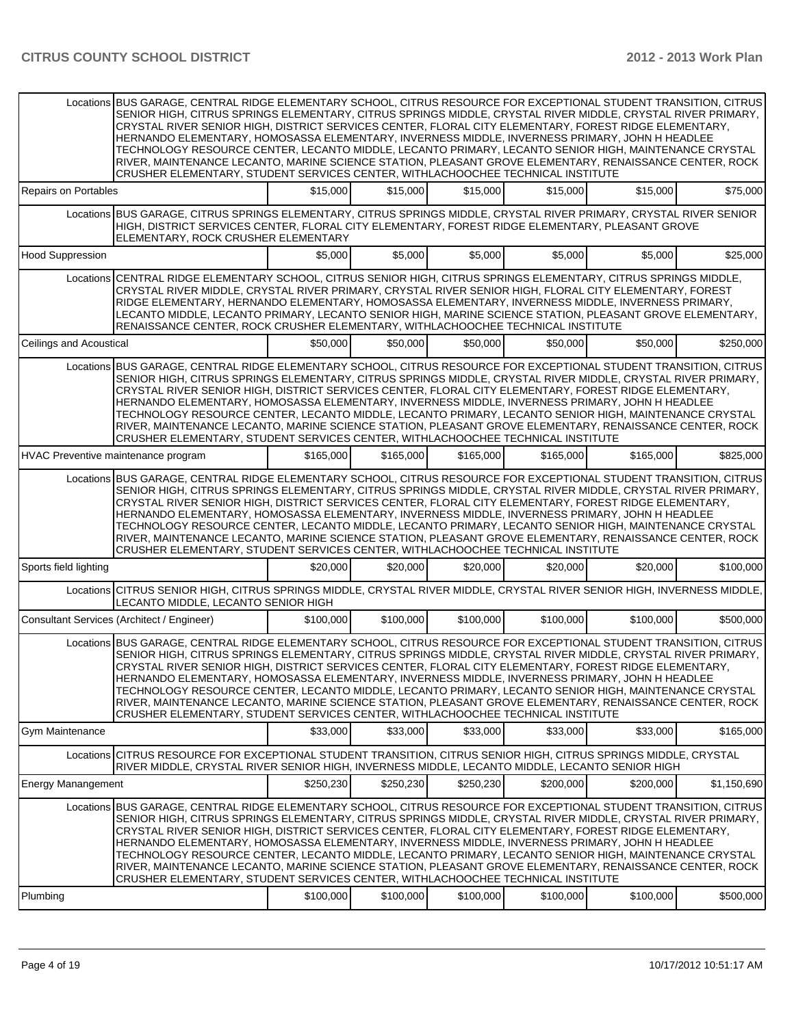|                           | Locations BUS GARAGE. CENTRAL RIDGE ELEMENTARY SCHOOL. CITRUS RESOURCE FOR EXCEPTIONAL STUDENT TRANSITION. CITRUS<br>SENIOR HIGH, CITRUS SPRINGS ELEMENTARY, CITRUS SPRINGS MIDDLE, CRYSTAL RIVER MIDDLE, CRYSTAL RIVER PRIMARY,<br>CRYSTAL RIVER SENIOR HIGH, DISTRICT SERVICES CENTER, FLORAL CITY ELEMENTARY, FOREST RIDGE ELEMENTARY,<br>HERNANDO ELEMENTARY, HOMOSASSA ELEMENTARY, INVERNESS MIDDLE, INVERNESS PRIMARY, JOHN H HEADLEE<br>TECHNOLOGY RESOURCE CENTER, LECANTO MIDDLE, LECANTO PRIMARY, LECANTO SENIOR HIGH, MAINTENANCE CRYSTAL<br>RIVER, MAINTENANCE LECANTO, MARINE SCIENCE STATION, PLEASANT GROVE ELEMENTARY, RENAISSANCE CENTER, ROCK<br>CRUSHER ELEMENTARY, STUDENT SERVICES CENTER, WITHLACHOOCHEE TECHNICAL INSTITUTE |           |           |           |           |           |             |
|---------------------------|----------------------------------------------------------------------------------------------------------------------------------------------------------------------------------------------------------------------------------------------------------------------------------------------------------------------------------------------------------------------------------------------------------------------------------------------------------------------------------------------------------------------------------------------------------------------------------------------------------------------------------------------------------------------------------------------------------------------------------------------------|-----------|-----------|-----------|-----------|-----------|-------------|
| Repairs on Portables      |                                                                                                                                                                                                                                                                                                                                                                                                                                                                                                                                                                                                                                                                                                                                                    | \$15.000  | \$15,000  | \$15,000  | \$15,000  | \$15,000  | \$75,000    |
|                           | Locations BUS GARAGE, CITRUS SPRINGS ELEMENTARY, CITRUS SPRINGS MIDDLE, CRYSTAL RIVER PRIMARY, CRYSTAL RIVER SENIOR<br>HIGH, DISTRICT SERVICES CENTER, FLORAL CITY ELEMENTARY, FOREST RIDGE ELEMENTARY, PLEASANT GROVE<br>ELEMENTARY, ROCK CRUSHER ELEMENTARY                                                                                                                                                                                                                                                                                                                                                                                                                                                                                      |           |           |           |           |           |             |
| <b>Hood Suppression</b>   |                                                                                                                                                                                                                                                                                                                                                                                                                                                                                                                                                                                                                                                                                                                                                    | \$5,000   | \$5,000   | \$5,000   | \$5,000   | \$5,000   | \$25,000    |
|                           | Locations CENTRAL RIDGE ELEMENTARY SCHOOL, CITRUS SENIOR HIGH, CITRUS SPRINGS ELEMENTARY, CITRUS SPRINGS MIDDLE,<br>CRYSTAL RIVER MIDDLE, CRYSTAL RIVER PRIMARY, CRYSTAL RIVER SENIOR HIGH, FLORAL CITY ELEMENTARY, FOREST<br>RIDGE ELEMENTARY, HERNANDO ELEMENTARY, HOMOSASSA ELEMENTARY, INVERNESS MIDDLE, INVERNESS PRIMARY,<br>LECANTO MIDDLE, LECANTO PRIMARY, LECANTO SENIOR HIGH, MARINE SCIENCE STATION, PLEASANT GROVE ELEMENTARY,<br>RENAISSANCE CENTER, ROCK CRUSHER ELEMENTARY, WITHLACHOOCHEE TECHNICAL INSTITUTE                                                                                                                                                                                                                     |           |           |           |           |           |             |
| Ceilings and Acoustical   |                                                                                                                                                                                                                                                                                                                                                                                                                                                                                                                                                                                                                                                                                                                                                    | \$50,000  | \$50,000  | \$50,000  | \$50,000  | \$50,000  | \$250,000   |
|                           | Locations BUS GARAGE, CENTRAL RIDGE ELEMENTARY SCHOOL, CITRUS RESOURCE FOR EXCEPTIONAL STUDENT TRANSITION, CITRUS<br>SENIOR HIGH, CITRUS SPRINGS ELEMENTARY, CITRUS SPRINGS MIDDLE, CRYSTAL RIVER MIDDLE, CRYSTAL RIVER PRIMARY,<br>CRYSTAL RIVER SENIOR HIGH, DISTRICT SERVICES CENTER, FLORAL CITY ELEMENTARY, FOREST RIDGE ELEMENTARY,<br>HERNANDO ELEMENTARY, HOMOSASSA ELEMENTARY, INVERNESS MIDDLE, INVERNESS PRIMARY, JOHN H HEADLEE<br>TECHNOLOGY RESOURCE CENTER, LECANTO MIDDLE, LECANTO PRIMARY, LECANTO SENIOR HIGH, MAINTENANCE CRYSTAL<br>RIVER, MAINTENANCE LECANTO, MARINE SCIENCE STATION, PLEASANT GROVE ELEMENTARY, RENAISSANCE CENTER, ROCK<br>CRUSHER ELEMENTARY, STUDENT SERVICES CENTER, WITHLACHOOCHEE TECHNICAL INSTITUTE |           |           |           |           |           |             |
|                           | HVAC Preventive maintenance program                                                                                                                                                                                                                                                                                                                                                                                                                                                                                                                                                                                                                                                                                                                | \$165,000 | \$165,000 | \$165,000 | \$165,000 | \$165,000 | \$825,000   |
|                           | Locations BUS GARAGE, CENTRAL RIDGE ELEMENTARY SCHOOL, CITRUS RESOURCE FOR EXCEPTIONAL STUDENT TRANSITION, CITRUS<br>SENIOR HIGH, CITRUS SPRINGS ELEMENTARY, CITRUS SPRINGS MIDDLE, CRYSTAL RIVER MIDDLE, CRYSTAL RIVER PRIMARY,<br>CRYSTAL RIVER SENIOR HIGH, DISTRICT SERVICES CENTER, FLORAL CITY ELEMENTARY, FOREST RIDGE ELEMENTARY,<br>HERNANDO ELEMENTARY, HOMOSASSA ELEMENTARY, INVERNESS MIDDLE, INVERNESS PRIMARY, JOHN H HEADLEE<br>TECHNOLOGY RESOURCE CENTER, LECANTO MIDDLE, LECANTO PRIMARY, LECANTO SENIOR HIGH, MAINTENANCE CRYSTAL<br>RIVER, MAINTENANCE LECANTO, MARINE SCIENCE STATION, PLEASANT GROVE ELEMENTARY, RENAISSANCE CENTER, ROCK<br>CRUSHER ELEMENTARY, STUDENT SERVICES CENTER, WITHLACHOOCHEE TECHNICAL INSTITUTE |           |           |           |           |           |             |
| Sports field lighting     |                                                                                                                                                                                                                                                                                                                                                                                                                                                                                                                                                                                                                                                                                                                                                    | \$20,000  | \$20,000  | \$20,000  | \$20,000  | \$20,000  | \$100,000   |
|                           | Locations CITRUS SENIOR HIGH, CITRUS SPRINGS MIDDLE, CRYSTAL RIVER MIDDLE, CRYSTAL RIVER SENIOR HIGH, INVERNESS MIDDLE,<br>LECANTO MIDDLE, LECANTO SENIOR HIGH                                                                                                                                                                                                                                                                                                                                                                                                                                                                                                                                                                                     |           |           |           |           |           |             |
|                           | Consultant Services (Architect / Engineer)                                                                                                                                                                                                                                                                                                                                                                                                                                                                                                                                                                                                                                                                                                         | \$100,000 | \$100,000 | \$100,000 | \$100,000 | \$100,000 | \$500.000   |
|                           | Locations BUS GARAGE, CENTRAL RIDGE ELEMENTARY SCHOOL, CITRUS RESOURCE FOR EXCEPTIONAL STUDENT TRANSITION, CITRUS<br>SENIOR HIGH, CITRUS SPRINGS ELEMENTARY, CITRUS SPRINGS MIDDLE, CRYSTAL RIVER MIDDLE, CRYSTAL RIVER PRIMARY,<br>CRYSTAL RIVER SENIOR HIGH, DISTRICT SERVICES CENTER, FLORAL CITY ELEMENTARY, FOREST RIDGE ELEMENTARY,<br>HERNANDO ELEMENTARY, HOMOSASSA ELEMENTARY, INVERNESS MIDDLE, INVERNESS PRIMARY, JOHN H HEADLEE<br>TECHNOLOGY RESOURCE CENTER, LECANTO MIDDLE, LECANTO PRIMARY, LECANTO SENIOR HIGH, MAINTENANCE CRYSTAL<br>RIVER, MAINTENANCE LECANTO, MARINE SCIENCE STATION, PLEASANT GROVE ELEMENTARY, RENAISSANCE CENTER, ROCK<br>CRUSHER ELEMENTARY, STUDENT SERVICES CENTER, WITHLACHOOCHEE TECHNICAL INSTITUTE |           |           |           |           |           |             |
| <b>Gym Maintenance</b>    |                                                                                                                                                                                                                                                                                                                                                                                                                                                                                                                                                                                                                                                                                                                                                    | \$33,000  | \$33,000  | \$33,000  | \$33,000  | \$33,000  | \$165,000   |
|                           | Locations CITRUS RESOURCE FOR EXCEPTIONAL STUDENT TRANSITION, CITRUS SENIOR HIGH, CITRUS SPRINGS MIDDLE, CRYSTAL<br>RIVER MIDDLE, CRYSTAL RIVER SENIOR HIGH, INVERNESS MIDDLE, LECANTO MIDDLE, LECANTO SENIOR HIGH                                                                                                                                                                                                                                                                                                                                                                                                                                                                                                                                 |           |           |           |           |           |             |
| <b>Energy Manangement</b> |                                                                                                                                                                                                                                                                                                                                                                                                                                                                                                                                                                                                                                                                                                                                                    | \$250,230 | \$250,230 | \$250,230 | \$200,000 | \$200,000 | \$1,150,690 |
|                           | Locations BUS GARAGE, CENTRAL RIDGE ELEMENTARY SCHOOL, CITRUS RESOURCE FOR EXCEPTIONAL STUDENT TRANSITION, CITRUS<br>SENIOR HIGH, CITRUS SPRINGS ELEMENTARY, CITRUS SPRINGS MIDDLE, CRYSTAL RIVER MIDDLE, CRYSTAL RIVER PRIMARY,<br>CRYSTAL RIVER SENIOR HIGH, DISTRICT SERVICES CENTER, FLORAL CITY ELEMENTARY, FOREST RIDGE ELEMENTARY,<br>HERNANDO ELEMENTARY, HOMOSASSA ELEMENTARY, INVERNESS MIDDLE, INVERNESS PRIMARY, JOHN H HEADLEE<br>TECHNOLOGY RESOURCE CENTER, LECANTO MIDDLE, LECANTO PRIMARY, LECANTO SENIOR HIGH, MAINTENANCE CRYSTAL<br>RIVER, MAINTENANCE LECANTO, MARINE SCIENCE STATION, PLEASANT GROVE ELEMENTARY, RENAISSANCE CENTER, ROCK<br>CRUSHER ELEMENTARY, STUDENT SERVICES CENTER, WITHLACHOOCHEE TECHNICAL INSTITUTE |           |           |           |           |           |             |
| Plumbing                  |                                                                                                                                                                                                                                                                                                                                                                                                                                                                                                                                                                                                                                                                                                                                                    | \$100,000 | \$100,000 | \$100,000 | \$100,000 | \$100,000 | \$500,000   |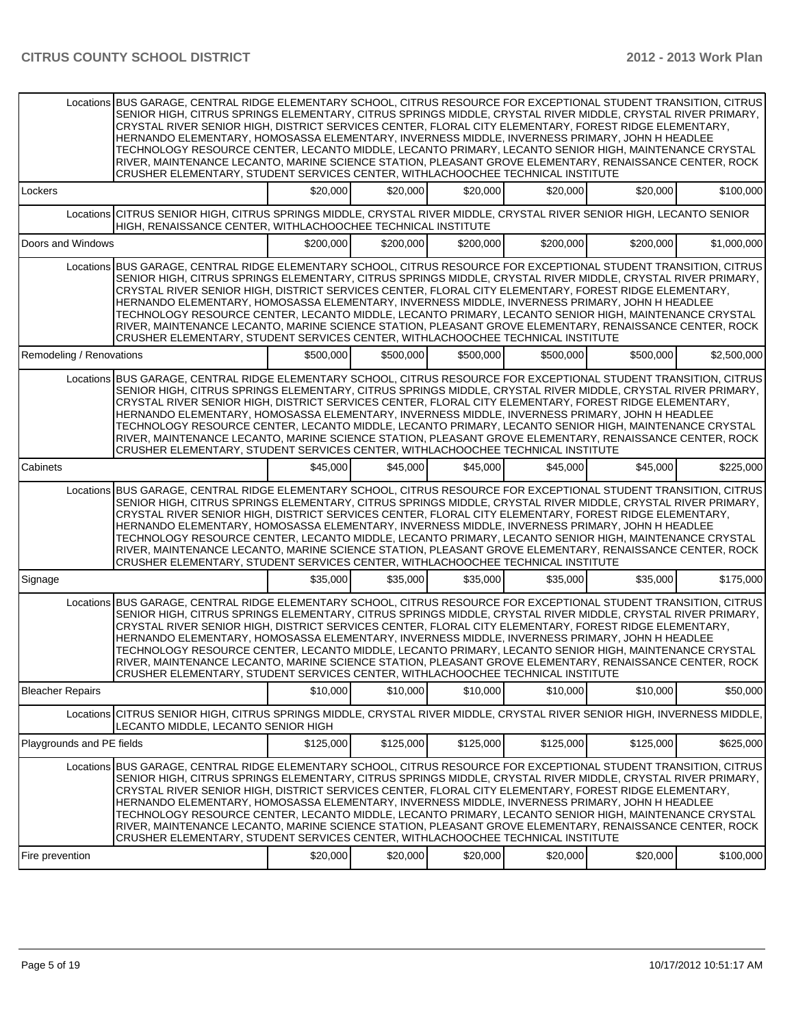|                           | Locations BUS GARAGE, CENTRAL RIDGE ELEMENTARY SCHOOL, CITRUS RESOURCE FOR EXCEPTIONAL STUDENT TRANSITION, CITRUS<br>SENIOR HIGH, CITRUS SPRINGS ELEMENTARY, CITRUS SPRINGS MIDDLE, CRYSTAL RIVER MIDDLE, CRYSTAL RIVER PRIMARY,<br>CRYSTAL RIVER SENIOR HIGH, DISTRICT SERVICES CENTER, FLORAL CITY ELEMENTARY, FOREST RIDGE ELEMENTARY,<br>HERNANDO ELEMENTARY, HOMOSASSA ELEMENTARY, INVERNESS MIDDLE, INVERNESS PRIMARY, JOHN H HEADLEE<br>TECHNOLOGY RESOURCE CENTER, LECANTO MIDDLE, LECANTO PRIMARY, LECANTO SENIOR HIGH, MAINTENANCE CRYSTAL<br>RIVER, MAINTENANCE LECANTO, MARINE SCIENCE STATION, PLEASANT GROVE ELEMENTARY, RENAISSANCE CENTER, ROCK<br>CRUSHER ELEMENTARY, STUDENT SERVICES CENTER, WITHLACHOOCHEE TECHNICAL INSTITUTE |           |           |           |           |           |             |
|---------------------------|----------------------------------------------------------------------------------------------------------------------------------------------------------------------------------------------------------------------------------------------------------------------------------------------------------------------------------------------------------------------------------------------------------------------------------------------------------------------------------------------------------------------------------------------------------------------------------------------------------------------------------------------------------------------------------------------------------------------------------------------------|-----------|-----------|-----------|-----------|-----------|-------------|
| Lockers                   |                                                                                                                                                                                                                                                                                                                                                                                                                                                                                                                                                                                                                                                                                                                                                    | \$20,000  | \$20,000  | \$20,000  | \$20,000  | \$20,000  | \$100,000   |
|                           | Locations CITRUS SENIOR HIGH, CITRUS SPRINGS MIDDLE, CRYSTAL RIVER MIDDLE, CRYSTAL RIVER SENIOR HIGH, LECANTO SENIOR<br>HIGH, RENAISSANCE CENTER, WITHLACHOOCHEE TECHNICAL INSTITUTE                                                                                                                                                                                                                                                                                                                                                                                                                                                                                                                                                               |           |           |           |           |           |             |
| Doors and Windows         |                                                                                                                                                                                                                                                                                                                                                                                                                                                                                                                                                                                                                                                                                                                                                    | \$200,000 | \$200,000 | \$200,000 | \$200,000 | \$200,000 | \$1,000,000 |
|                           | Locations BUS GARAGE, CENTRAL RIDGE ELEMENTARY SCHOOL, CITRUS RESOURCE FOR EXCEPTIONAL STUDENT TRANSITION, CITRUS<br>SENIOR HIGH, CITRUS SPRINGS ELEMENTARY, CITRUS SPRINGS MIDDLE, CRYSTAL RIVER MIDDLE, CRYSTAL RIVER PRIMARY,<br>CRYSTAL RIVER SENIOR HIGH, DISTRICT SERVICES CENTER, FLORAL CITY ELEMENTARY, FOREST RIDGE ELEMENTARY,<br>HERNANDO ELEMENTARY, HOMOSASSA ELEMENTARY, INVERNESS MIDDLE, INVERNESS PRIMARY, JOHN H HEADLEE<br>TECHNOLOGY RESOURCE CENTER, LECANTO MIDDLE, LECANTO PRIMARY, LECANTO SENIOR HIGH, MAINTENANCE CRYSTAL<br>RIVER, MAINTENANCE LECANTO, MARINE SCIENCE STATION, PLEASANT GROVE ELEMENTARY, RENAISSANCE CENTER, ROCK<br>CRUSHER ELEMENTARY, STUDENT SERVICES CENTER, WITHLACHOOCHEE TECHNICAL INSTITUTE |           |           |           |           |           |             |
| Remodeling / Renovations  |                                                                                                                                                                                                                                                                                                                                                                                                                                                                                                                                                                                                                                                                                                                                                    | \$500,000 | \$500,000 | \$500,000 | \$500,000 | \$500,000 | \$2,500,000 |
|                           | Locations BUS GARAGE, CENTRAL RIDGE ELEMENTARY SCHOOL, CITRUS RESOURCE FOR EXCEPTIONAL STUDENT TRANSITION, CITRUS<br>SENIOR HIGH, CITRUS SPRINGS ELEMENTARY, CITRUS SPRINGS MIDDLE, CRYSTAL RIVER MIDDLE, CRYSTAL RIVER PRIMARY,<br>CRYSTAL RIVER SENIOR HIGH, DISTRICT SERVICES CENTER, FLORAL CITY ELEMENTARY, FOREST RIDGE ELEMENTARY,<br>HERNANDO ELEMENTARY, HOMOSASSA ELEMENTARY, INVERNESS MIDDLE, INVERNESS PRIMARY, JOHN H HEADLEE<br>TECHNOLOGY RESOURCE CENTER, LECANTO MIDDLE, LECANTO PRIMARY, LECANTO SENIOR HIGH, MAINTENANCE CRYSTAL<br>RIVER, MAINTENANCE LECANTO, MARINE SCIENCE STATION, PLEASANT GROVE ELEMENTARY, RENAISSANCE CENTER, ROCK<br>CRUSHER ELEMENTARY, STUDENT SERVICES CENTER, WITHLACHOOCHEE TECHNICAL INSTITUTE |           |           |           |           |           |             |
| Cabinets                  |                                                                                                                                                                                                                                                                                                                                                                                                                                                                                                                                                                                                                                                                                                                                                    | \$45,000  | \$45,000  | \$45,000  | \$45,000  | \$45,000  | \$225,000   |
|                           | Locations BUS GARAGE, CENTRAL RIDGE ELEMENTARY SCHOOL, CITRUS RESOURCE FOR EXCEPTIONAL STUDENT TRANSITION, CITRUS<br>SENIOR HIGH, CITRUS SPRINGS ELEMENTARY, CITRUS SPRINGS MIDDLE, CRYSTAL RIVER MIDDLE, CRYSTAL RIVER PRIMARY,<br>CRYSTAL RIVER SENIOR HIGH, DISTRICT SERVICES CENTER, FLORAL CITY ELEMENTARY, FOREST RIDGE ELEMENTARY,<br>HERNANDO ELEMENTARY, HOMOSASSA ELEMENTARY, INVERNESS MIDDLE, INVERNESS PRIMARY, JOHN H HEADLEE<br>TECHNOLOGY RESOURCE CENTER, LECANTO MIDDLE, LECANTO PRIMARY, LECANTO SENIOR HIGH, MAINTENANCE CRYSTAL<br>RIVER, MAINTENANCE LECANTO, MARINE SCIENCE STATION, PLEASANT GROVE ELEMENTARY, RENAISSANCE CENTER, ROCK<br>CRUSHER ELEMENTARY, STUDENT SERVICES CENTER, WITHLACHOOCHEE TECHNICAL INSTITUTE |           |           |           |           |           |             |
| Signage                   |                                                                                                                                                                                                                                                                                                                                                                                                                                                                                                                                                                                                                                                                                                                                                    | \$35,000  | \$35,000  | \$35,000  | \$35,000  | \$35,000  | \$175,000   |
|                           | Locations BUS GARAGE, CENTRAL RIDGE ELEMENTARY SCHOOL, CITRUS RESOURCE FOR EXCEPTIONAL STUDENT TRANSITION, CITRUS<br>SENIOR HIGH, CITRUS SPRINGS ELEMENTARY, CITRUS SPRINGS MIDDLE, CRYSTAL RIVER MIDDLE, CRYSTAL RIVER PRIMARY,<br>CRYSTAL RIVER SENIOR HIGH, DISTRICT SERVICES CENTER, FLORAL CITY ELEMENTARY, FOREST RIDGE ELEMENTARY,<br>HERNANDO ELEMENTARY, HOMOSASSA ELEMENTARY, INVERNESS MIDDLE, INVERNESS PRIMARY, JOHN H HEADLEE<br>TECHNOLOGY RESOURCE CENTER. LECANTO MIDDLE, LECANTO PRIMARY, LECANTO SENIOR HIGH, MAINTENANCE CRYSTAL<br>RIVER, MAINTENANCE LECANTO, MARINE SCIENCE STATION, PLEASANT GROVE ELEMENTARY, RENAISSANCE CENTER, ROCK<br>CRUSHER ELEMENTARY, STUDENT SERVICES CENTER, WITHLACHOOCHEE TECHNICAL INSTITUTE |           |           |           |           |           |             |
| <b>Bleacher Repairs</b>   |                                                                                                                                                                                                                                                                                                                                                                                                                                                                                                                                                                                                                                                                                                                                                    | \$10,000  | \$10,000  | \$10,000  | \$10,000  | \$10,000  | \$50,000    |
| Locations                 | CITRUS SENIOR HIGH, CITRUS SPRINGS MIDDLE, CRYSTAL RIVER MIDDLE, CRYSTAL RIVER SENIOR HIGH, INVERNESS MIDDLE,<br>LECANTO MIDDLE, LECANTO SENIOR HIGH                                                                                                                                                                                                                                                                                                                                                                                                                                                                                                                                                                                               |           |           |           |           |           |             |
| Playgrounds and PE fields |                                                                                                                                                                                                                                                                                                                                                                                                                                                                                                                                                                                                                                                                                                                                                    | \$125,000 | \$125,000 | \$125,000 | \$125,000 | \$125,000 | \$625,000   |
|                           | Locations BUS GARAGE, CENTRAL RIDGE ELEMENTARY SCHOOL, CITRUS RESOURCE FOR EXCEPTIONAL STUDENT TRANSITION, CITRUS<br>SENIOR HIGH, CITRUS SPRINGS ELEMENTARY, CITRUS SPRINGS MIDDLE, CRYSTAL RIVER MIDDLE, CRYSTAL RIVER PRIMARY,<br>CRYSTAL RIVER SENIOR HIGH, DISTRICT SERVICES CENTER, FLORAL CITY ELEMENTARY, FOREST RIDGE ELEMENTARY,<br>HERNANDO ELEMENTARY, HOMOSASSA ELEMENTARY, INVERNESS MIDDLE, INVERNESS PRIMARY, JOHN H HEADLEE<br>TECHNOLOGY RESOURCE CENTER, LECANTO MIDDLE, LECANTO PRIMARY, LECANTO SENIOR HIGH, MAINTENANCE CRYSTAL<br>RIVER, MAINTENANCE LECANTO, MARINE SCIENCE STATION, PLEASANT GROVE ELEMENTARY, RENAISSANCE CENTER, ROCK<br>CRUSHER ELEMENTARY, STUDENT SERVICES CENTER, WITHLACHOOCHEE TECHNICAL INSTITUTE |           |           |           |           |           |             |
| Fire prevention           |                                                                                                                                                                                                                                                                                                                                                                                                                                                                                                                                                                                                                                                                                                                                                    | \$20,000  | \$20,000  | \$20,000  | \$20,000  | \$20,000  | \$100,000   |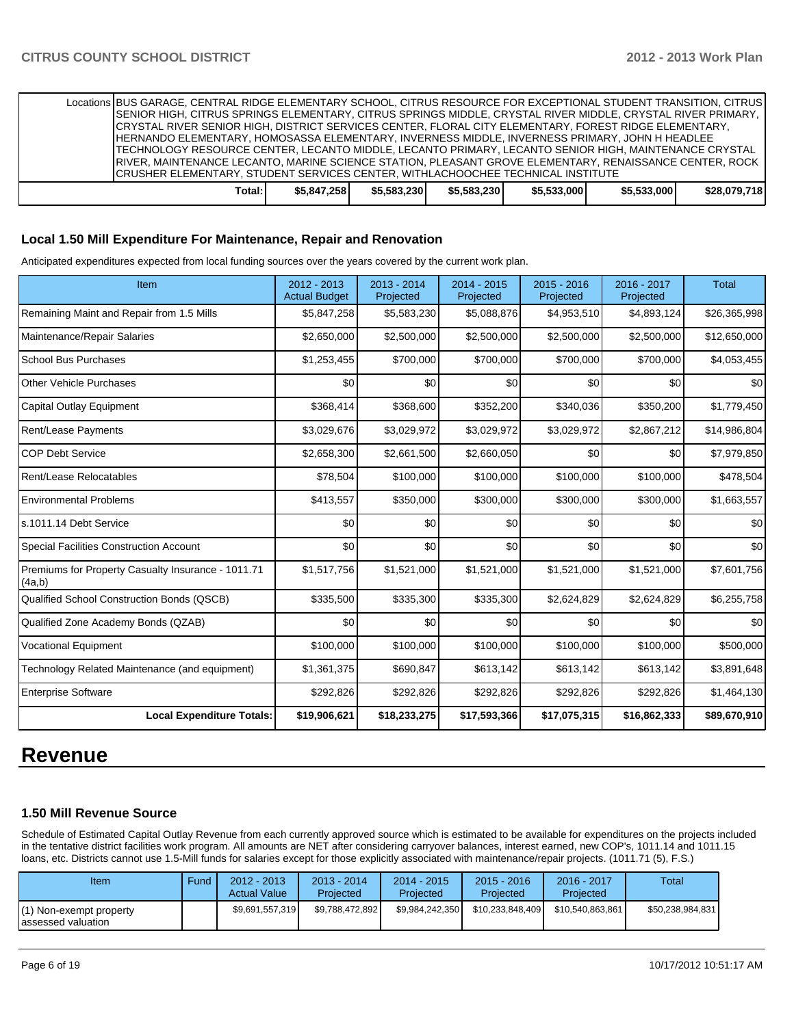Locations BUS GARAGE, CENTRAL RIDGE ELEMENTARY SCHOOL, CITRUS RESOURCE FOR EXCEPTIONAL STUDENT TRANSITION, CITRUS SENIOR HIGH, CITRUS SPRINGS ELEMENTARY, CITRUS SPRINGS MIDDLE, CRYSTAL RIVER MIDDLE, CRYSTAL RIVER PRIMARY, CRYSTAL RIVER SENIOR HIGH, DISTRICT SERVICES CENTER, FLORAL CITY ELEMENTARY, FOREST RIDGE ELEMENTARY, HERNANDO ELEMENTARY, HOMOSASSA ELEMENTARY, INVERNESS MIDDLE, INVERNESS PRIMARY, JOHN H HEADLEE TECHNOLOGY RESOURCE CENTER, LECANTO MIDDLE, LECANTO PRIMARY, LECANTO SENIOR HIGH, MAINTENANCE CRYSTAL RIVER, MAINTENANCE LECANTO, MARINE SCIENCE STATION, PLEASANT GROVE ELEMENTARY, RENAISSANCE CENTER, ROCK CRUSHER ELEMENTARY, STUDENT SERVICES CENTER, WITHLACHOOCHEE TECHNICAL INSTITUTE **Total: \$5,847,258 \$5,583,230 \$5,583,230 \$5,533,000 \$5,533,000 \$28,079,718**

#### **Local 1.50 Mill Expenditure For Maintenance, Repair and Renovation**

Anticipated expenditures expected from local funding sources over the years covered by the current work plan.

| Item                                                         | 2012 - 2013<br><b>Actual Budget</b> | $2013 - 2014$<br>Projected | 2014 - 2015<br>Projected | $2015 - 2016$<br>Projected | 2016 - 2017<br>Projected | <b>Total</b> |
|--------------------------------------------------------------|-------------------------------------|----------------------------|--------------------------|----------------------------|--------------------------|--------------|
| Remaining Maint and Repair from 1.5 Mills                    | \$5,847,258                         | \$5,583,230                | \$5,088,876              | \$4,953,510                | \$4,893,124              | \$26,365,998 |
| Maintenance/Repair Salaries                                  | \$2,650,000                         | \$2,500,000                | \$2,500,000              | \$2,500,000                | \$2,500,000              | \$12,650,000 |
| <b>School Bus Purchases</b>                                  | \$1,253,455                         | \$700,000                  | \$700,000                | \$700,000                  | \$700,000                | \$4,053,455  |
| <b>Other Vehicle Purchases</b>                               | \$0                                 | \$0                        | \$0                      | \$0                        | \$0                      | \$0          |
| <b>Capital Outlay Equipment</b>                              | \$368,414                           | \$368,600                  | \$352,200                | \$340,036                  | \$350,200                | \$1,779,450  |
| Rent/Lease Payments                                          | \$3,029,676                         | \$3,029,972                | \$3,029,972              | \$3,029,972                | \$2,867,212              | \$14,986,804 |
| <b>COP Debt Service</b>                                      | \$2,658,300                         | \$2,661,500                | \$2,660,050              | \$0                        | \$0                      | \$7,979,850  |
| Rent/Lease Relocatables                                      | \$78,504                            | \$100,000                  | \$100,000                | \$100,000                  | \$100,000                | \$478,504    |
| <b>Environmental Problems</b>                                | \$413,557                           | \$350,000                  | \$300,000                | \$300,000                  | \$300,000                | \$1,663,557  |
| s.1011.14 Debt Service                                       | \$0                                 | \$0                        | \$0                      | \$0                        | \$0                      | \$0          |
| <b>Special Facilities Construction Account</b>               | \$0                                 | \$0                        | \$0                      | \$0                        | \$0                      | \$0          |
| Premiums for Property Casualty Insurance - 1011.71<br>(4a,b) | \$1,517,756                         | \$1,521,000                | \$1,521,000              | \$1,521,000                | \$1,521,000              | \$7,601,756  |
| Qualified School Construction Bonds (QSCB)                   | \$335,500                           | \$335,300                  | \$335,300                | \$2,624,829                | \$2,624,829              | \$6,255,758  |
| Qualified Zone Academy Bonds (QZAB)                          | \$0                                 | \$0                        | \$0                      | \$0                        | \$0                      | \$0          |
| <b>Vocational Equipment</b>                                  | \$100,000                           | \$100,000                  | \$100,000                | \$100,000                  | \$100,000                | \$500,000    |
| Technology Related Maintenance (and equipment)               | \$1,361,375                         | \$690,847                  | \$613,142                | \$613,142                  | \$613,142                | \$3,891,648  |
| <b>Enterprise Software</b>                                   | \$292,826                           | \$292,826                  | \$292,826                | \$292,826                  | \$292,826                | \$1,464,130  |
| <b>Local Expenditure Totals:</b>                             | \$19,906,621                        | \$18,233,275               | \$17,593,366             | \$17,075,315               | \$16,862,333             | \$89,670,910 |

# **Revenue**

# **1.50 Mill Revenue Source**

Schedule of Estimated Capital Outlay Revenue from each currently approved source which is estimated to be available for expenditures on the projects included in the tentative district facilities work program. All amounts are NET after considering carryover balances, interest earned, new COP's, 1011.14 and 1011.15 loans, etc. Districts cannot use 1.5-Mill funds for salaries except for those explicitly associated with maintenance/repair projects. (1011.71 (5), F.S.)

| Item                                           | Fund | 2012 - 2013<br><b>Actual Value</b> | $2013 - 2014$<br>Projected | 2014 - 2015<br>Projected | $2015 - 2016$<br>Projected | 2016 - 2017<br>Projected | Total            |
|------------------------------------------------|------|------------------------------------|----------------------------|--------------------------|----------------------------|--------------------------|------------------|
| (1) Non-exempt property<br>Iassessed valuation |      | \$9,691,557,319                    | \$9.788.472.892            | \$9.984.242.350          | \$10.233.848.409           | \$10.540.863.861         | \$50,238,984,831 |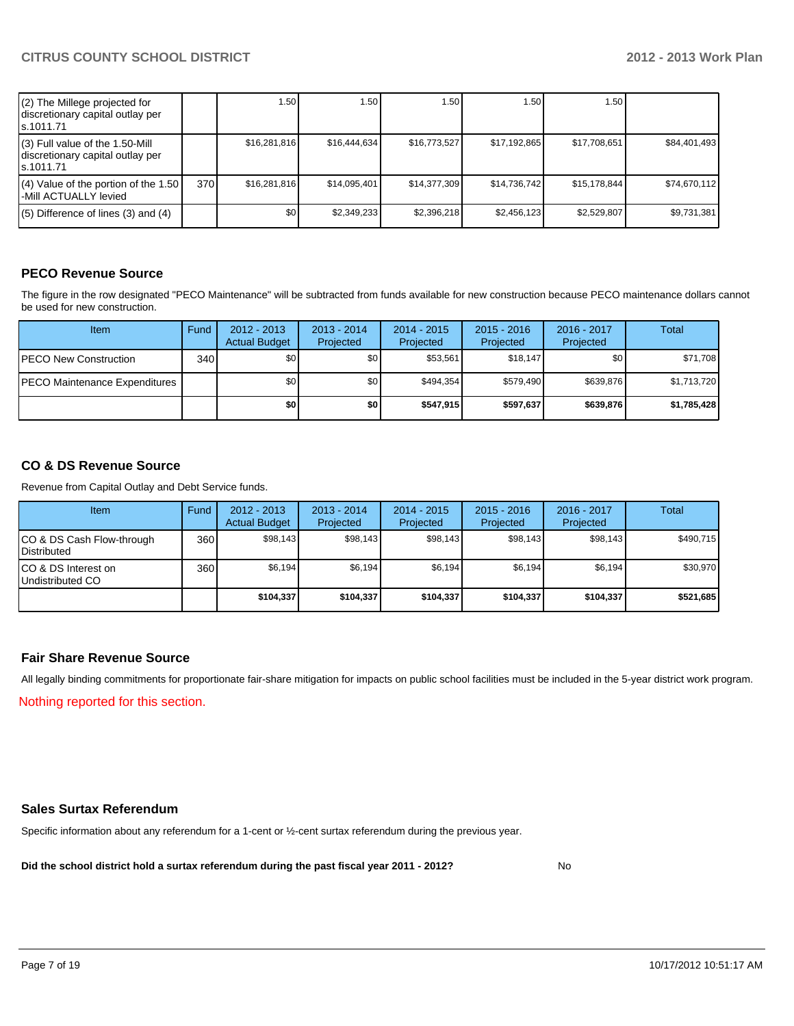| (2) The Millege projected for<br>discretionary capital outlay per<br>ls.1011.71   |     | 1.50         | 1.50 I       | 1.50         | 1.50         | 1.50 l       |              |
|-----------------------------------------------------------------------------------|-----|--------------|--------------|--------------|--------------|--------------|--------------|
| (3) Full value of the 1.50-Mill<br>discretionary capital outlay per<br>ls.1011.71 |     | \$16.281.816 | \$16,444,634 | \$16,773,527 | \$17,192,865 | \$17,708,651 | \$84,401,493 |
| $(4)$ Value of the portion of the 1.50<br>l-Mill ACTUALLY levied                  | 370 | \$16.281.816 | \$14.095.401 | \$14,377,309 | \$14,736,742 | \$15,178,844 | \$74,670,112 |
| $(5)$ Difference of lines $(3)$ and $(4)$                                         |     | \$0          | \$2,349,233  | \$2,396,218  | \$2,456,123  | \$2,529,807  | \$9,731,381  |

# **PECO Revenue Source**

The figure in the row designated "PECO Maintenance" will be subtracted from funds available for new construction because PECO maintenance dollars cannot be used for new construction.

| Item                                  | Fund | $2012 - 2013$<br><b>Actual Budget</b> | $2013 - 2014$<br>Projected | $2014 - 2015$<br>Projected | $2015 - 2016$<br>Projected | 2016 - 2017<br>Projected | Total       |
|---------------------------------------|------|---------------------------------------|----------------------------|----------------------------|----------------------------|--------------------------|-------------|
| <b>PECO New Construction</b>          | 340  | \$0                                   | \$0 <sub>1</sub>           | \$53,561                   | \$18.147                   | \$0                      | \$71,708    |
| <b>IPECO Maintenance Expenditures</b> |      | \$0                                   | \$0 <sub>1</sub>           | \$494.354                  | \$579.490                  | \$639.876                | \$1,713,720 |
|                                       |      | \$0                                   | \$0                        | \$547.915                  | \$597.637                  | \$639,876                | \$1,785,428 |

## **CO & DS Revenue Source**

Revenue from Capital Outlay and Debt Service funds.

| Item                                               | Fund | $2012 - 2013$<br><b>Actual Budget</b> | $2013 - 2014$<br>Projected | $2014 - 2015$<br>Projected | $2015 - 2016$<br>Projected | $2016 - 2017$<br>Projected | Total     |
|----------------------------------------------------|------|---------------------------------------|----------------------------|----------------------------|----------------------------|----------------------------|-----------|
| ICO & DS Cash Flow-through<br><b>I</b> Distributed | 360  | \$98,143                              | \$98,143                   | \$98.143                   | \$98,143                   | \$98,143                   | \$490,715 |
| ICO & DS Interest on<br>Undistributed CO           | 360  | \$6.194                               | \$6.194                    | \$6,194]                   | \$6.194]                   | \$6,194                    | \$30,970  |
|                                                    |      | \$104,337                             | \$104.337                  | \$104,337                  | \$104,337                  | \$104,337                  | \$521,685 |

#### **Fair Share Revenue Source**

Nothing reported for this section. All legally binding commitments for proportionate fair-share mitigation for impacts on public school facilities must be included in the 5-year district work program.

#### **Sales Surtax Referendum**

Specific information about any referendum for a 1-cent or ½-cent surtax referendum during the previous year.

**Did the school district hold a surtax referendum during the past fiscal year 2011 - 2012?**

No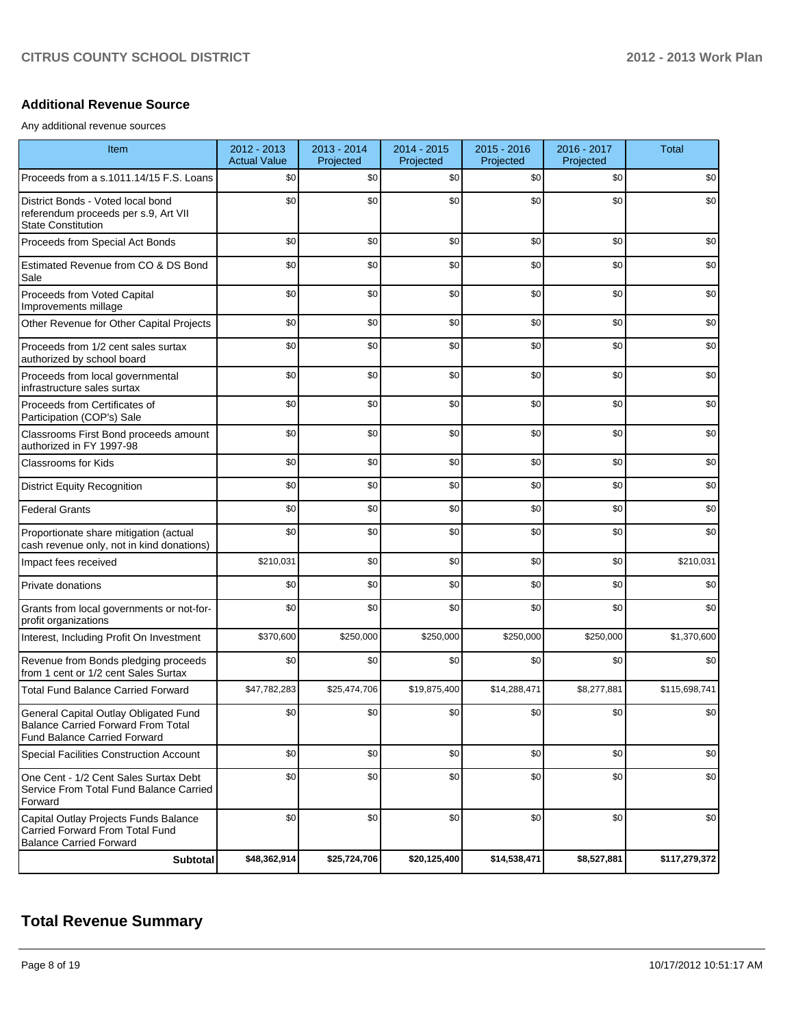#### **Additional Revenue Source**

Any additional revenue sources

| Item                                                                                                                      | 2012 - 2013<br><b>Actual Value</b> | $2013 - 2014$<br>Projected | 2014 - 2015<br>Projected | 2015 - 2016<br>Projected | 2016 - 2017<br>Projected | <b>Total</b>  |
|---------------------------------------------------------------------------------------------------------------------------|------------------------------------|----------------------------|--------------------------|--------------------------|--------------------------|---------------|
| Proceeds from a s.1011.14/15 F.S. Loans                                                                                   | \$0                                | \$0                        | \$0                      | \$0                      | \$0                      | \$0           |
| District Bonds - Voted local bond<br>referendum proceeds per s.9, Art VII<br><b>State Constitution</b>                    | \$0                                | \$0                        | \$0                      | \$0                      | \$0                      | \$0           |
| Proceeds from Special Act Bonds                                                                                           | \$0                                | \$0                        | \$0                      | \$0                      | \$0                      | \$0           |
| Estimated Revenue from CO & DS Bond<br>Sale                                                                               | \$0                                | \$0                        | \$0                      | \$0                      | \$0                      | \$0           |
| Proceeds from Voted Capital<br>Improvements millage                                                                       | \$0                                | \$0                        | \$0                      | \$0                      | \$0                      | \$0           |
| Other Revenue for Other Capital Projects                                                                                  | \$0                                | \$0                        | \$0                      | \$0                      | \$0                      | \$0           |
| Proceeds from 1/2 cent sales surtax<br>authorized by school board                                                         | \$0                                | \$0                        | \$0                      | \$0                      | \$0                      | \$0           |
| Proceeds from local governmental<br>infrastructure sales surtax                                                           | \$0                                | \$0                        | \$0                      | \$0                      | \$0                      | \$0           |
| Proceeds from Certificates of<br>Participation (COP's) Sale                                                               | \$0                                | \$0                        | \$0                      | \$0                      | \$0                      | \$0           |
| Classrooms First Bond proceeds amount<br>authorized in FY 1997-98                                                         | \$0                                | \$0                        | \$0                      | \$0                      | \$0                      | \$0           |
| Classrooms for Kids                                                                                                       | \$0                                | \$0                        | \$0                      | \$0                      | \$0                      | \$0           |
| <b>District Equity Recognition</b>                                                                                        | \$0                                | \$0                        | \$0                      | \$0                      | \$0                      | \$0           |
| <b>Federal Grants</b>                                                                                                     | \$0                                | \$0                        | \$0                      | \$0                      | \$0                      | \$0           |
| Proportionate share mitigation (actual<br>cash revenue only, not in kind donations)                                       | \$0                                | \$0                        | \$0                      | \$0                      | \$0                      | \$0           |
| Impact fees received                                                                                                      | \$210,031                          | \$0                        | \$0                      | \$0                      | \$0                      | \$210,031     |
| Private donations                                                                                                         | \$0                                | \$0                        | \$0                      | \$0                      | \$0                      | \$0           |
| Grants from local governments or not-for-<br>profit organizations                                                         | \$0                                | \$0                        | \$0                      | \$0                      | \$0                      | \$0           |
| Interest, Including Profit On Investment                                                                                  | \$370,600                          | \$250,000                  | \$250,000                | \$250,000                | \$250,000                | \$1,370,600   |
| Revenue from Bonds pledging proceeds<br>from 1 cent or 1/2 cent Sales Surtax                                              | \$0                                | \$0                        | \$0                      | \$0                      | \$0                      | \$0           |
| <b>Total Fund Balance Carried Forward</b>                                                                                 | \$47,782,283                       | \$25,474,706               | \$19,875,400             | \$14,288,471             | \$8,277,881              | \$115,698,741 |
| General Capital Outlay Obligated Fund<br><b>Balance Carried Forward From Total</b><br><b>Fund Balance Carried Forward</b> | \$0                                | \$0                        | \$0                      | \$0                      | \$0                      | \$0           |
| Special Facilities Construction Account                                                                                   | \$0                                | \$0                        | \$0                      | \$0                      | \$0                      | \$0           |
| One Cent - 1/2 Cent Sales Surtax Debt<br>Service From Total Fund Balance Carried<br>Forward                               | \$0                                | \$0                        | \$0                      | \$0                      | \$0                      | \$0           |
| Capital Outlay Projects Funds Balance<br>Carried Forward From Total Fund<br><b>Balance Carried Forward</b>                | \$0                                | \$0                        | \$0                      | \$0                      | \$0                      | \$0           |
| Subtotal                                                                                                                  | \$48,362,914                       | \$25,724,706               | \$20,125,400             | \$14,538,471             | \$8,527,881              | \$117,279,372 |

# **Total Revenue Summary**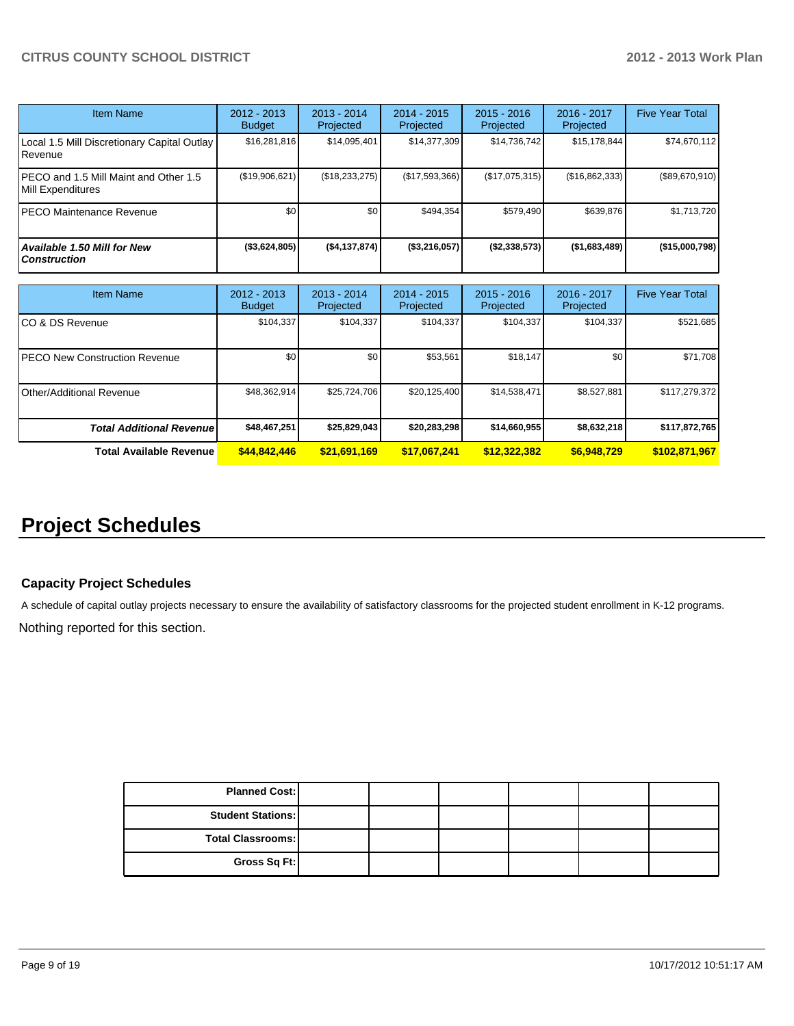| <b>Item Name</b>                                           | 2012 - 2013<br><b>Budget</b> | $2013 - 2014$<br>Projected | 2014 - 2015<br>Projected | $2015 - 2016$<br>Projected | 2016 - 2017<br>Projected | <b>Five Year Total</b> |
|------------------------------------------------------------|------------------------------|----------------------------|--------------------------|----------------------------|--------------------------|------------------------|
| Local 1.5 Mill Discretionary Capital Outlay<br>Revenue     | \$16,281,816                 | \$14,095,401               | \$14,377,309             | \$14,736,742               | \$15, 178, 844           | \$74,670,112           |
| PECO and 1.5 Mill Maint and Other 1.5<br>Mill Expenditures | (\$19,906,621)               | (\$18,233,275)             | (\$17,593,366)           | (\$17,075,315)             | (\$16,862,333)           | (\$89,670,910)         |
| <b>PECO Maintenance Revenue</b>                            | \$0                          | \$0                        | \$494.354                | \$579.490                  | \$639.876                | \$1,713,720            |
| Available 1.50 Mill for New<br><b>Construction</b>         | $($ \$3,624,805)             | ( \$4,137,874)             | (\$3,216,057)            | (S2, 338, 573)             | (\$1,683,489)            | (\$15,000,798)         |

| Item Name                             | 2012 - 2013<br><b>Budget</b> | $2013 - 2014$<br>Projected | $2014 - 2015$<br>Projected | $2015 - 2016$<br>Projected | $2016 - 2017$<br>Projected | <b>Five Year Total</b> |
|---------------------------------------|------------------------------|----------------------------|----------------------------|----------------------------|----------------------------|------------------------|
| ICO & DS Revenue                      | \$104,337                    | \$104,337                  | \$104.337                  | \$104,337                  | \$104,337                  | \$521,685              |
| <b>IPECO New Construction Revenue</b> | \$0                          | \$0                        | \$53,561                   | \$18,147                   | \$O                        | \$71,708               |
| <b>I</b> Other/Additional Revenue     | \$48,362,914                 | \$25,724,706               | \$20,125,400               | \$14,538,471               | \$8,527,881                | \$117,279,372          |
| <b>Total Additional Revenuel</b>      | \$48,467,251                 | \$25,829,043               | \$20,283,298               | \$14,660,955               | \$8,632,218                | \$117,872,765          |
| <b>Total Available Revenue</b>        | \$44,842,446                 | \$21,691,169               | \$17,067,241               | \$12,322,382               | \$6,948,729                | \$102,871,967          |

# **Project Schedules**

#### **Capacity Project Schedules**

A schedule of capital outlay projects necessary to ensure the availability of satisfactory classrooms for the projected student enrollment in K-12 programs.

Nothing reported for this section.

| <b>Planned Cost:</b>     |  |  |  |
|--------------------------|--|--|--|
| <b>Student Stations:</b> |  |  |  |
| <b>Total Classrooms:</b> |  |  |  |
| Gross Sq Ft:             |  |  |  |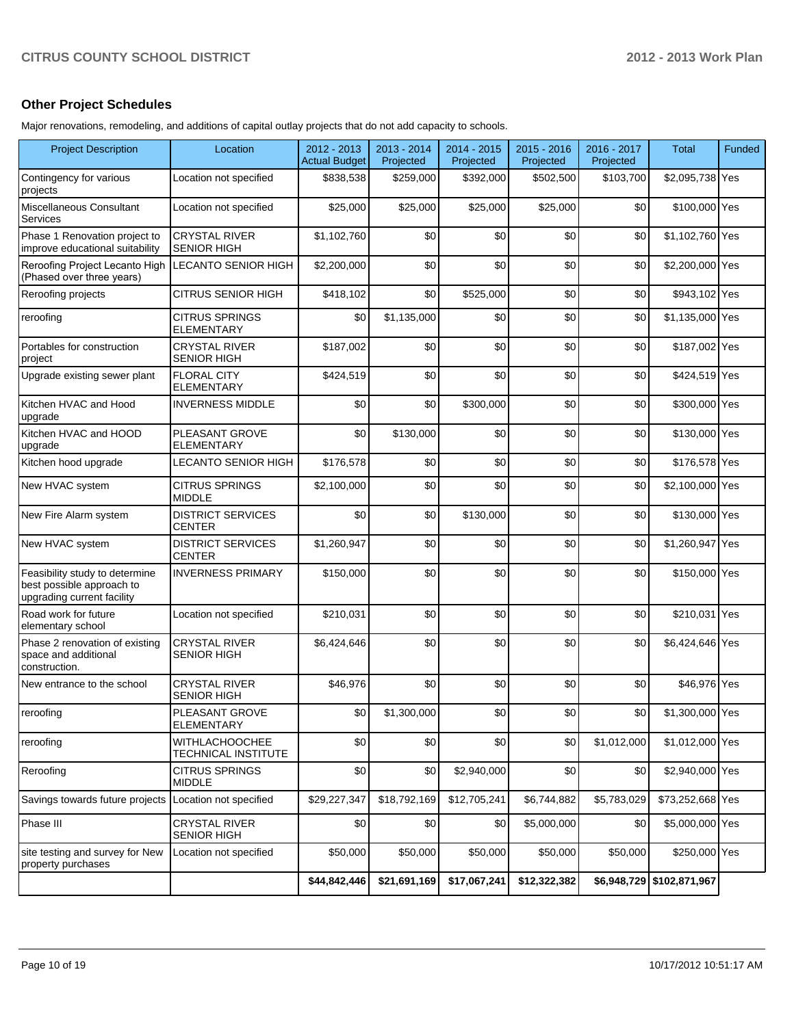# **Other Project Schedules**

Major renovations, remodeling, and additions of capital outlay projects that do not add capacity to schools.

| <b>Project Description</b>                                                                | Location                                     | 2012 - 2013<br><b>Actual Budget</b> | 2013 - 2014<br>Projected | 2014 - 2015<br>Projected | 2015 - 2016<br>Projected | 2016 - 2017<br>Projected | <b>Total</b>              | Funded |
|-------------------------------------------------------------------------------------------|----------------------------------------------|-------------------------------------|--------------------------|--------------------------|--------------------------|--------------------------|---------------------------|--------|
| Contingency for various<br>projects                                                       | Location not specified                       | \$838,538                           | \$259,000                | \$392,000                | \$502,500                | \$103,700                | \$2,095,738 Yes           |        |
| Miscellaneous Consultant<br>Services                                                      | Location not specified                       | \$25,000                            | \$25,000                 | \$25,000                 | \$25,000                 | \$0                      | \$100,000 Yes             |        |
| Phase 1 Renovation project to<br>improve educational suitability                          | <b>CRYSTAL RIVER</b><br><b>SENIOR HIGH</b>   | \$1,102,760                         | \$0                      | \$0                      | \$0                      | \$0                      | \$1,102,760 Yes           |        |
| Reroofing Project Lecanto High<br>(Phased over three years)                               | <b>LECANTO SENIOR HIGH</b>                   | \$2,200,000                         | \$0                      | \$0                      | \$0                      | \$0                      | \$2,200,000 Yes           |        |
| Reroofing projects                                                                        | CITRUS SENIOR HIGH                           | \$418,102                           | \$0                      | \$525,000                | \$0                      | \$0                      | \$943,102 Yes             |        |
| reroofing                                                                                 | <b>CITRUS SPRINGS</b><br><b>ELEMENTARY</b>   | \$0                                 | \$1,135,000              | \$0                      | \$0                      | \$0                      | \$1,135,000 Yes           |        |
| Portables for construction<br>project                                                     | <b>CRYSTAL RIVER</b><br><b>SENIOR HIGH</b>   | \$187,002                           | \$0                      | \$0                      | \$0                      | \$0                      | \$187,002 Yes             |        |
| Upgrade existing sewer plant                                                              | <b>FLORAL CITY</b><br><b>ELEMENTARY</b>      | \$424,519                           | \$0                      | \$0                      | \$0                      | \$0                      | \$424,519 Yes             |        |
| Kitchen HVAC and Hood<br>upgrade                                                          | <b>INVERNESS MIDDLE</b>                      | \$0                                 | \$0                      | \$300,000                | \$0                      | \$0                      | \$300,000 Yes             |        |
| Kitchen HVAC and HOOD<br>upgrade                                                          | PLEASANT GROVE<br><b>ELEMENTARY</b>          | \$0                                 | \$130,000                | \$0                      | \$0                      | \$0                      | \$130,000 Yes             |        |
| Kitchen hood upgrade                                                                      | LECANTO SENIOR HIGH                          | \$176,578                           | \$0                      | \$0                      | \$0                      | \$0                      | \$176,578 Yes             |        |
| New HVAC system                                                                           | <b>CITRUS SPRINGS</b><br><b>MIDDLE</b>       | \$2,100,000                         | \$0                      | \$0                      | \$0                      | \$0                      | \$2,100,000 Yes           |        |
| New Fire Alarm system                                                                     | <b>DISTRICT SERVICES</b><br><b>CENTER</b>    | \$0                                 | \$0                      | \$130,000                | \$0                      | \$0                      | \$130,000 Yes             |        |
| New HVAC system                                                                           | <b>DISTRICT SERVICES</b><br><b>CENTER</b>    | \$1,260,947                         | \$0                      | \$0                      | \$0                      | \$0                      | \$1,260,947 Yes           |        |
| Feasibility study to determine<br>best possible approach to<br>upgrading current facility | <b>INVERNESS PRIMARY</b>                     | \$150,000                           | \$0                      | \$0                      | \$0                      | \$0                      | \$150,000 Yes             |        |
| Road work for future<br>elementary school                                                 | Location not specified                       | \$210,031                           | \$0                      | \$0                      | \$0                      | \$0                      | \$210,031 Yes             |        |
| Phase 2 renovation of existing<br>space and additional<br>construction.                   | <b>CRYSTAL RIVER</b><br><b>SENIOR HIGH</b>   | \$6,424,646                         | \$0                      | \$0                      | \$0                      | \$0                      | \$6,424,646 Yes           |        |
| New entrance to the school                                                                | <b>CRYSTAL RIVER</b><br><b>SENIOR HIGH</b>   | \$46,976                            | \$0                      | \$0                      | \$0                      | \$0                      | \$46,976 Yes              |        |
| reroofing                                                                                 | <b>PLEASANT GROVE</b><br><b>ELEMENTARY</b>   | \$0                                 | \$1,300,000              | \$0                      | \$0                      | \$0                      | \$1,300,000 Yes           |        |
| reroofing                                                                                 | <b>WITHLACHOOCHEE</b><br>TECHNICAL INSTITUTE | \$0                                 | \$0                      | \$0                      | \$0                      | \$1,012,000              | \$1,012,000 Yes           |        |
| Reroofing                                                                                 | <b>CITRUS SPRINGS</b><br><b>MIDDLE</b>       | \$0                                 | \$0                      | \$2,940,000              | \$0                      | \$0                      | \$2,940,000 Yes           |        |
| Savings towards future projects                                                           | Location not specified                       | \$29,227,347                        | \$18,792,169             | \$12,705,241             | \$6,744,882              | \$5,783,029              | \$73,252,668 Yes          |        |
| Phase III                                                                                 | <b>CRYSTAL RIVER</b><br><b>SENIOR HIGH</b>   | \$0                                 | \$0                      | \$0                      | \$5,000,000              | \$0                      | \$5,000,000 Yes           |        |
| site testing and survey for New<br>property purchases                                     | Location not specified                       | \$50,000                            | \$50,000                 | \$50,000                 | \$50,000                 | \$50,000                 | \$250,000 Yes             |        |
|                                                                                           |                                              | \$44,842,446                        | \$21,691,169             | \$17,067,241             | \$12,322,382             |                          | \$6,948,729 \$102,871,967 |        |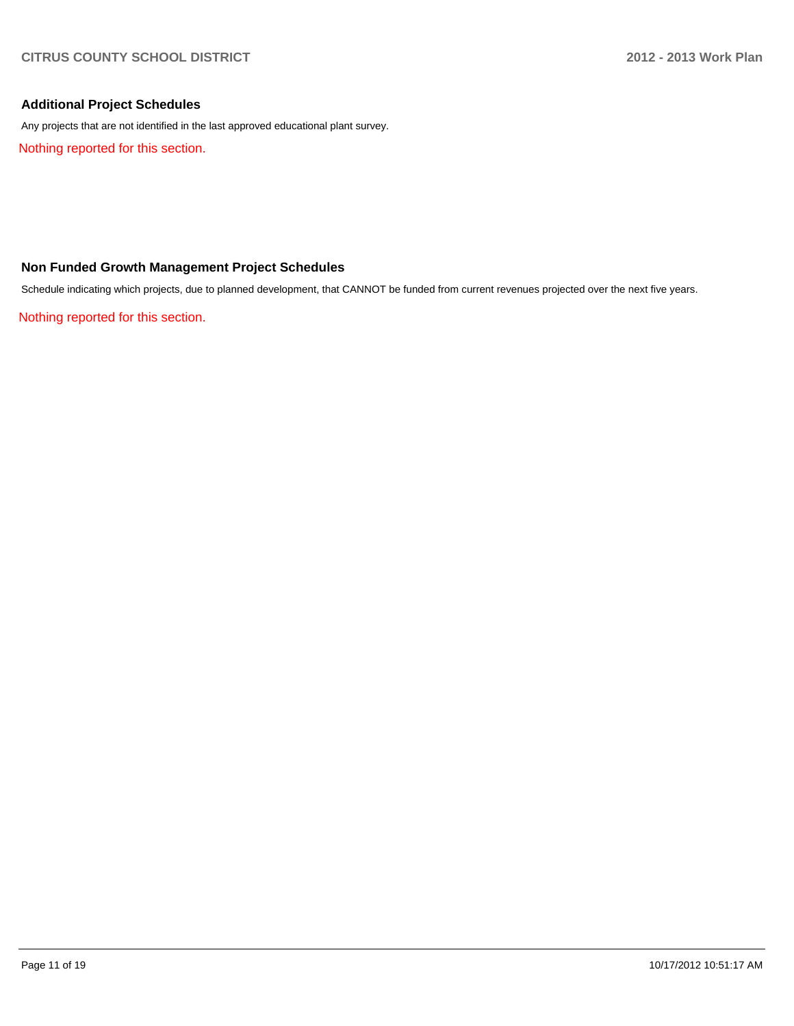# **Additional Project Schedules**

Any projects that are not identified in the last approved educational plant survey.

Nothing reported for this section.

# **Non Funded Growth Management Project Schedules**

Schedule indicating which projects, due to planned development, that CANNOT be funded from current revenues projected over the next five years.

Nothing reported for this section.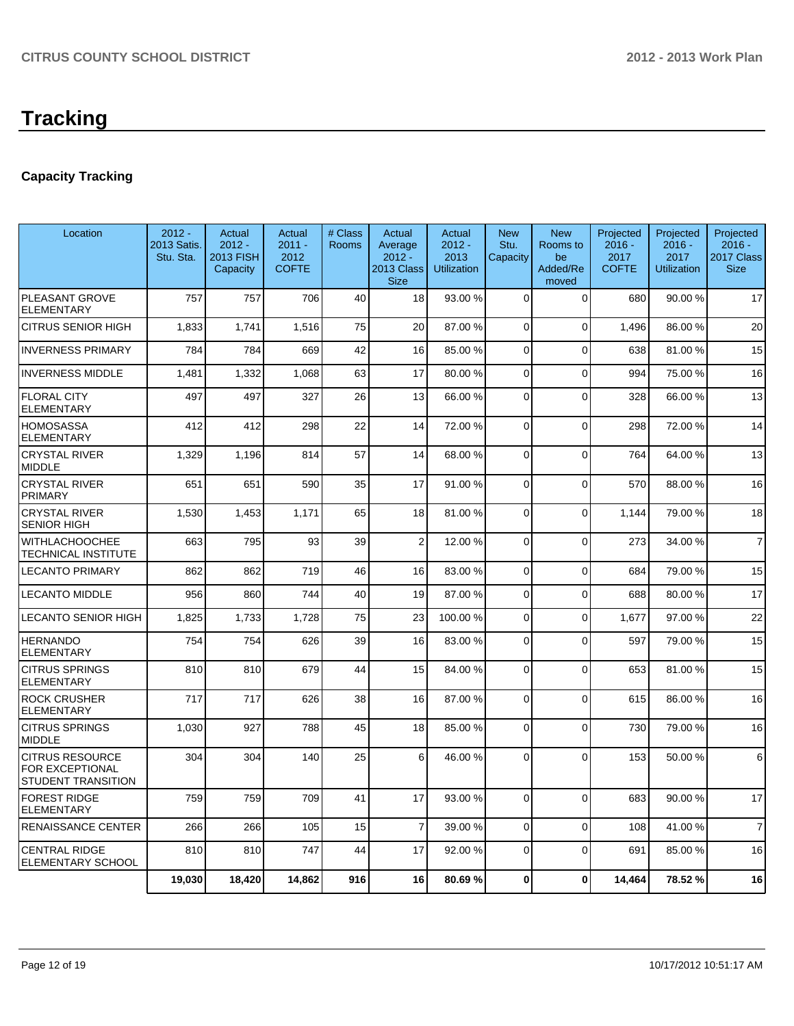# **Tracking**

# **Capacity Tracking**

| Location                                                        | $2012 -$<br>2013 Satis.<br>Stu. Sta. | Actual<br>$2012 -$<br>2013 FISH<br>Capacity | Actual<br>$2011 -$<br>2012<br><b>COFTE</b> | # Class<br><b>Rooms</b> | Actual<br>Average<br>$2012 -$<br>2013 Class<br><b>Size</b> | Actual<br>$2012 -$<br>2013<br><b>Utilization</b> | <b>New</b><br>Stu.<br>Capacity | <b>New</b><br>Rooms to<br>be<br>Added/Re<br>moved | Projected<br>$2016 -$<br>2017<br><b>COFTE</b> | Projected<br>$2016 -$<br>2017<br><b>Utilization</b> | Projected<br>$2016 -$<br>2017 Class<br><b>Size</b> |
|-----------------------------------------------------------------|--------------------------------------|---------------------------------------------|--------------------------------------------|-------------------------|------------------------------------------------------------|--------------------------------------------------|--------------------------------|---------------------------------------------------|-----------------------------------------------|-----------------------------------------------------|----------------------------------------------------|
| PLEASANT GROVE<br>ELEMENTARY                                    | 757                                  | 757                                         | 706                                        | 40                      | 18                                                         | 93.00 %                                          | $\Omega$                       | $\Omega$                                          | 680                                           | 90.00 %                                             | 17                                                 |
| CITRUS SENIOR HIGH                                              | 1,833                                | 1,741                                       | 1,516                                      | 75                      | 20                                                         | 87.00 %                                          | $\mathbf 0$                    | $\overline{0}$                                    | 1,496                                         | 86.00%                                              | 20                                                 |
| <b>INVERNESS PRIMARY</b>                                        | 784                                  | 784                                         | 669                                        | 42                      | 16                                                         | 85.00 %                                          | $\Omega$                       | $\Omega$                                          | 638                                           | 81.00%                                              | 15                                                 |
| <b>INVERNESS MIDDLE</b>                                         | 1,481                                | 1,332                                       | 1,068                                      | 63                      | 17                                                         | 80.00 %                                          | $\overline{0}$                 | $\overline{0}$                                    | 994                                           | 75.00 %                                             | 16                                                 |
| <b>FLORAL CITY</b><br>ELEMENTARY                                | 497                                  | 497                                         | 327                                        | 26                      | 13                                                         | 66.00 %                                          | $\Omega$                       | $\Omega$                                          | 328                                           | 66.00 %                                             | 13                                                 |
| HOMOSASSA<br><b>ELEMENTARY</b>                                  | 412                                  | 412                                         | 298                                        | 22                      | 14                                                         | 72.00 %                                          | $\Omega$                       | $\Omega$                                          | 298                                           | 72.00 %                                             | 14                                                 |
| <b>CRYSTAL RIVER</b><br>MIDDLE                                  | 1,329                                | 1,196                                       | 814                                        | 57                      | 14                                                         | 68.00 %                                          | $\Omega$                       | $\Omega$                                          | 764                                           | 64.00%                                              | 13                                                 |
| <b>CRYSTAL RIVER</b><br><b>PRIMARY</b>                          | 651                                  | 651                                         | 590                                        | 35                      | 17                                                         | 91.00 %                                          | $\Omega$                       | $\Omega$                                          | 570                                           | 88.00%                                              | 16                                                 |
| <b>CRYSTAL RIVER</b><br>SENIOR HIGH                             | 1,530                                | 1,453                                       | 1,171                                      | 65                      | 18                                                         | 81.00%                                           | $\Omega$                       | $\Omega$                                          | 1,144                                         | 79.00 %                                             | 18                                                 |
| WITHLACHOOCHEE<br>TECHNICAL INSTITUTE                           | 663                                  | 795                                         | 93                                         | 39                      | $\overline{2}$                                             | 12.00 %                                          | $\Omega$                       | 0                                                 | 273                                           | 34.00 %                                             | $\overline{7}$                                     |
| LECANTO PRIMARY                                                 | 862                                  | 862                                         | 719                                        | 46                      | 16                                                         | 83.00 %                                          | $\Omega$                       | $\Omega$                                          | 684                                           | 79.00 %                                             | 15                                                 |
| <b>LECANTO MIDDLE</b>                                           | 956                                  | 860                                         | 744                                        | 40                      | 19                                                         | 87.00 %                                          | $\Omega$                       | $\Omega$                                          | 688                                           | 80.00%                                              | 17                                                 |
| LECANTO SENIOR HIGH                                             | 1,825                                | 1,733                                       | 1.728                                      | 75                      | 23                                                         | 100.00 %                                         | $\Omega$                       | $\Omega$                                          | 1.677                                         | 97.00 %                                             | 22                                                 |
| <b>HERNANDO</b><br>ELEMENTARY                                   | 754                                  | 754                                         | 626                                        | 39                      | 16                                                         | 83.00 %                                          | $\Omega$                       | $\overline{0}$                                    | 597                                           | 79.00 %                                             | 15                                                 |
| CITRUS SPRINGS<br>ELEMENTARY                                    | 810                                  | 810                                         | 679                                        | 44                      | 15                                                         | 84.00 %                                          | $\Omega$                       | $\Omega$                                          | 653                                           | 81.00%                                              | 15                                                 |
| <b>ROCK CRUSHER</b><br><b>ELEMENTARY</b>                        | 717                                  | 717                                         | 626                                        | 38                      | 16                                                         | 87.00 %                                          | $\Omega$                       | $\overline{0}$                                    | 615                                           | 86.00 %                                             | 16                                                 |
| <b>CITRUS SPRINGS</b><br><b>MIDDLE</b>                          | 1,030                                | 927                                         | 788                                        | 45                      | 18                                                         | 85.00 %                                          | $\Omega$                       | $\Omega$                                          | 730                                           | 79.00 %                                             | 16                                                 |
| <b>CITRUS RESOURCE</b><br>FOR EXCEPTIONAL<br>STUDENT TRANSITION | 304                                  | 304                                         | 140                                        | 25                      | $6 \mid$                                                   | 46.00 %                                          | $\Omega$                       | $\Omega$                                          | 153                                           | 50.00 %                                             | 6                                                  |
| <b>FOREST RIDGE</b><br><b>ELEMENTARY</b>                        | 759                                  | 759                                         | 709                                        | 41                      | 17                                                         | 93.00 %                                          | $\Omega$                       | $\Omega$                                          | 683                                           | 90.00%                                              | 17                                                 |
| <b>RENAISSANCE CENTER</b>                                       | 266                                  | 266                                         | 105                                        | 15                      | $\overline{7}$                                             | 39.00 %                                          | $\Omega$                       | $\Omega$                                          | 108                                           | 41.00%                                              | $\overline{7}$                                     |
| <b>CENTRAL RIDGE</b><br>ELEMENTARY SCHOOL                       | 810                                  | 810                                         | 747                                        | 44                      | 17                                                         | 92.00 %                                          | $\Omega$                       | $\Omega$                                          | 691                                           | 85.00 %                                             | 16                                                 |
|                                                                 | 19,030                               | 18,420                                      | 14,862                                     | 916                     | 16                                                         | 80.69%                                           | $\bf{0}$                       | $\mathbf{0}$                                      | 14,464                                        | 78.52%                                              | 16                                                 |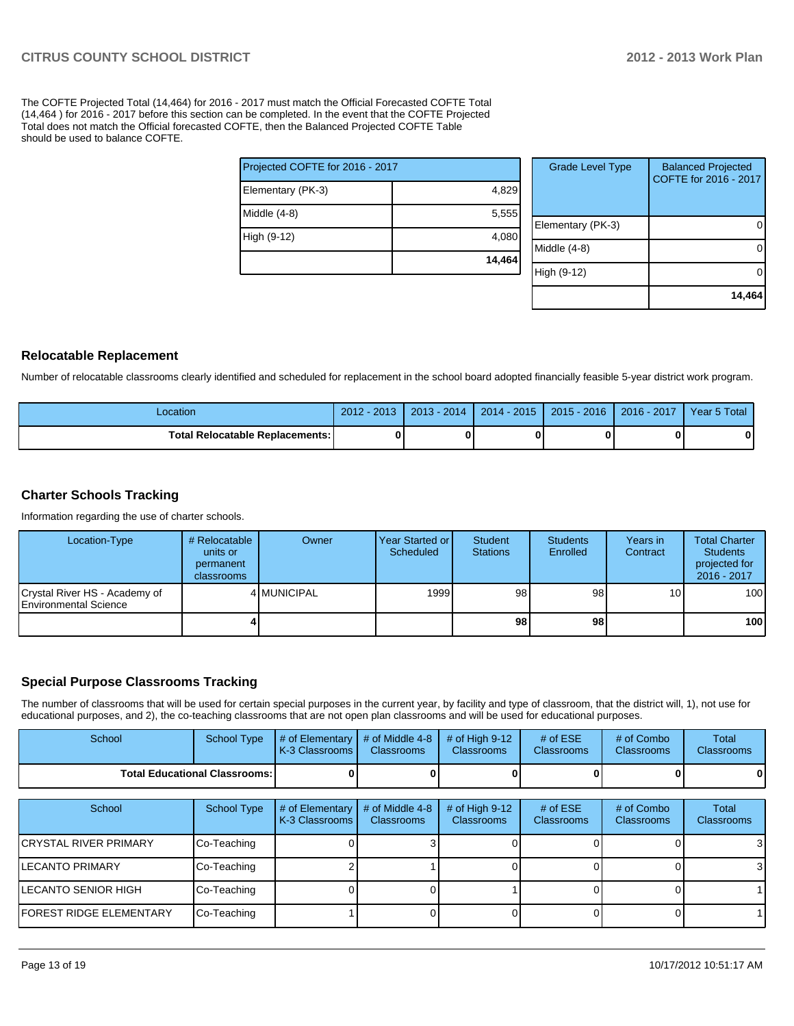The COFTE Projected Total (14,464) for 2016 - 2017 must match the Official Forecasted COFTE Total (14,464 ) for 2016 - 2017 before this section can be completed. In the event that the COFTE Projected Total does not match the Official forecasted COFTE, then the Balanced Projected COFTE Table should be used to balance COFTE.

|                                 | 14,464 |  |  |  |  |  |
|---------------------------------|--------|--|--|--|--|--|
| High (9-12)                     | 4,080  |  |  |  |  |  |
| Middle (4-8)                    | 5,555  |  |  |  |  |  |
| Elementary (PK-3)               | 4,829  |  |  |  |  |  |
| Projected COFTE for 2016 - 2017 |        |  |  |  |  |  |

| <b>Grade Level Type</b> | <b>Balanced Projected</b><br>COFTE for 2016 - 2017 |
|-------------------------|----------------------------------------------------|
| Elementary (PK-3)       |                                                    |
| Middle $(4-8)$          |                                                    |
| High (9-12)             |                                                    |
|                         | 14,464                                             |

#### **Relocatable Replacement**

Number of relocatable classrooms clearly identified and scheduled for replacement in the school board adopted financially feasible 5-year district work program.

| Location                                 | $2012 - 2013$ | $2013 - 2014$ | $2014 - 2015$ | $2015 - 2016$ | 2016 - 2017 | Year 5 Total |
|------------------------------------------|---------------|---------------|---------------|---------------|-------------|--------------|
| <b>Total Relocatable Replacements: I</b> |               |               | 0             |               |             |              |

#### **Charter Schools Tracking**

Information regarding the use of charter schools.

| Location-Type                                                  | # Relocatable<br>units or<br>permanent<br>classrooms | Owner       | Year Started or<br>Scheduled | Student<br><b>Stations</b> | <b>Students</b><br>Enrolled | Years in<br>Contract | <b>Total Charter</b><br><b>Students</b><br>projected for<br>2016 - 2017 |
|----------------------------------------------------------------|------------------------------------------------------|-------------|------------------------------|----------------------------|-----------------------------|----------------------|-------------------------------------------------------------------------|
| Crystal River HS - Academy of<br><b>IEnvironmental Science</b> |                                                      | 4 MUNICIPAL | 1999                         | 98                         | 98                          | 10 <sup>1</sup>      | 100                                                                     |
|                                                                |                                                      |             |                              | 98                         | 98 I                        |                      | 100                                                                     |

## **Special Purpose Classrooms Tracking**

The number of classrooms that will be used for certain special purposes in the current year, by facility and type of classroom, that the district will, 1), not use for educational purposes, and 2), the co-teaching classrooms that are not open plan classrooms and will be used for educational purposes.

| School | School Type                            | $\parallel$ # of Elementary $\parallel$ # of Middle 4-8 $\parallel$ # of High 9-12<br>K-3 Classrooms I | <b>Classrooms</b> | <b>Classrooms</b> | # of $ESE$<br><b>Classrooms</b> | # of Combo<br><b>Classrooms</b> | Total<br><b>Classrooms</b> |
|--------|----------------------------------------|--------------------------------------------------------------------------------------------------------|-------------------|-------------------|---------------------------------|---------------------------------|----------------------------|
|        | <b>Total Educational Classrooms: I</b> |                                                                                                        |                   |                   |                                 | 0                               | 0                          |

| School                          | School Type | # of Elementary<br>K-3 Classrooms I | # of Middle 4-8<br><b>Classrooms</b> | # of High $9-12$<br><b>Classrooms</b> | # of $ESE$<br><b>Classrooms</b> | # of Combo<br><b>Classrooms</b> | Total<br><b>Classrooms</b> |
|---------------------------------|-------------|-------------------------------------|--------------------------------------|---------------------------------------|---------------------------------|---------------------------------|----------------------------|
| İCRYSTAL RIVER PRIMARY          | Co-Teaching |                                     |                                      |                                       |                                 |                                 | 3                          |
| ILECANTO PRIMARY                | Co-Teaching |                                     |                                      |                                       |                                 |                                 | 3                          |
| LECANTO SENIOR HIGH             | Co-Teaching |                                     |                                      |                                       |                                 |                                 |                            |
| <b>IFOREST RIDGE ELEMENTARY</b> | Co-Teaching |                                     |                                      |                                       |                                 |                                 |                            |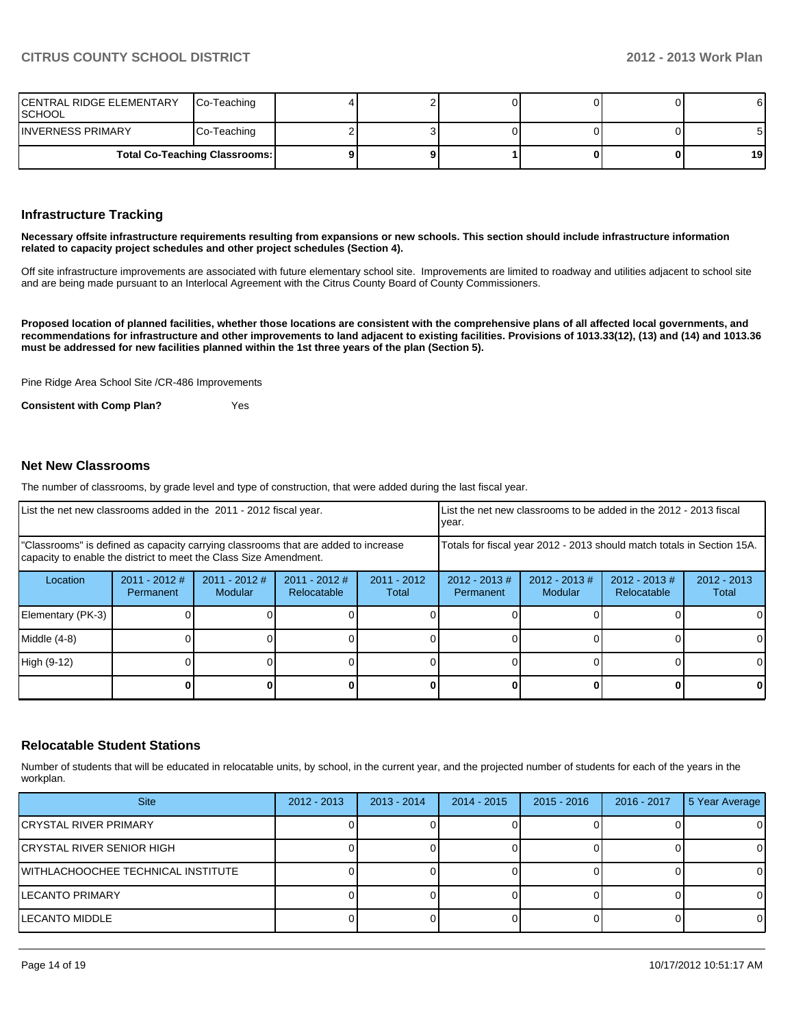| <b>CENTRAL RIDGE ELEMENTARY</b><br>ISCHOOL | Co-Teaching |  |  | 61 |
|--------------------------------------------|-------------|--|--|----|
| IINVERNESS PRIMARY                         | Co-Teaching |  |  | 51 |
| <b>Total Co-Teaching Classrooms:</b>       |             |  |  | 19 |

#### **Infrastructure Tracking**

**Necessary offsite infrastructure requirements resulting from expansions or new schools. This section should include infrastructure information related to capacity project schedules and other project schedules (Section 4).**

Off site infrastructure improvements are associated with future elementary school site. Improvements are limited to roadway and utilities adjacent to school site and are being made pursuant to an Interlocal Agreement with the Citrus County Board of County Commissioners.

**Proposed location of planned facilities, whether those locations are consistent with the comprehensive plans of all affected local governments, and recommendations for infrastructure and other improvements to land adjacent to existing facilities. Provisions of 1013.33(12), (13) and (14) and 1013.36 must be addressed for new facilities planned within the 1st three years of the plan (Section 5).**

Pine Ridge Area School Site /CR-486 Improvements

**Consistent with Comp Plan?** Yes

## **Net New Classrooms**

The number of classrooms, by grade level and type of construction, that were added during the last fiscal year.

|                                                                                                                                                         | List the net new classrooms added in the 2011 - 2012 fiscal year. |                                   |                                                                        |                                         |  | List the net new classrooms to be added in the 2012 - 2013 fiscal<br>vear. |                                |                        |  |
|---------------------------------------------------------------------------------------------------------------------------------------------------------|-------------------------------------------------------------------|-----------------------------------|------------------------------------------------------------------------|-----------------------------------------|--|----------------------------------------------------------------------------|--------------------------------|------------------------|--|
| "Classrooms" is defined as capacity carrying classrooms that are added to increase<br>capacity to enable the district to meet the Class Size Amendment. |                                                                   |                                   | Totals for fiscal year 2012 - 2013 should match totals in Section 15A. |                                         |  |                                                                            |                                |                        |  |
| Location                                                                                                                                                | $2011 - 2012$ #<br>Permanent                                      | $2011 - 2012$ #<br><b>Modular</b> | $2011 - 2012$ #<br>Relocatable                                         | 2011 - 2012<br>$2012 - 2013$ #<br>Total |  | $2012 - 2013$ #<br>Modular                                                 | $2012 - 2013$ #<br>Relocatable | $2012 - 2013$<br>Total |  |
| Elementary (PK-3)                                                                                                                                       |                                                                   |                                   |                                                                        |                                         |  |                                                                            |                                | ΩI                     |  |
| Middle (4-8)                                                                                                                                            |                                                                   |                                   |                                                                        |                                         |  |                                                                            |                                | 0                      |  |
| High (9-12)                                                                                                                                             |                                                                   |                                   |                                                                        |                                         |  |                                                                            |                                | $\Omega$               |  |
|                                                                                                                                                         |                                                                   |                                   |                                                                        |                                         |  |                                                                            |                                | 0                      |  |

#### **Relocatable Student Stations**

Number of students that will be educated in relocatable units, by school, in the current year, and the projected number of students for each of the years in the workplan.

| <b>Site</b>                        | $2012 - 2013$ | $2013 - 2014$ | $2014 - 2015$ | $2015 - 2016$ | 2016 - 2017 | 5 Year Average |
|------------------------------------|---------------|---------------|---------------|---------------|-------------|----------------|
| CRYSTAL RIVER PRIMARY              |               |               |               |               |             | $\Omega$       |
| ICRYSTAL RIVER SENIOR HIGH         |               |               |               |               |             | $\Omega$       |
| WITHLACHOOCHEE TECHNICAL INSTITUTE |               |               |               |               |             | 0              |
| <b>LECANTO PRIMARY</b>             |               |               |               |               |             | $\Omega$       |
| <b>LECANTO MIDDLE</b>              |               |               |               |               |             | $\Omega$       |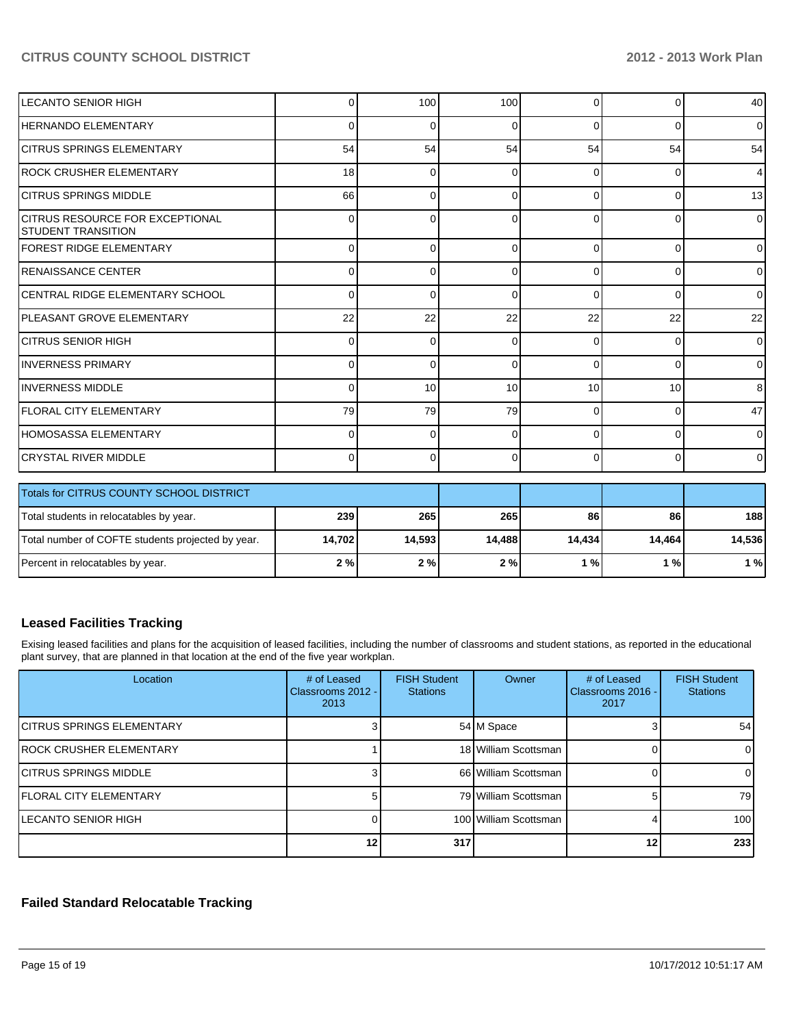| Totals for CITRUS COUNTY SCHOOL DISTRICT |                 |          |                 |          |                                                 |
|------------------------------------------|-----------------|----------|-----------------|----------|-------------------------------------------------|
|                                          |                 |          |                 |          |                                                 |
|                                          |                 |          |                 |          | $\overline{0}$                                  |
| 0                                        | $\Omega$        | 0        | $\Omega$        | $\Omega$ | $\Omega$                                        |
| 79                                       | 79              | 79       | $\Omega$        | 0        | 47                                              |
| 0                                        | 10 <sup>1</sup> | 10       | 10 <sup>1</sup> | 10       | 8                                               |
| 0                                        | 0               | $\Omega$ | $\Omega$        | 0        | $\Omega$                                        |
| 0                                        | $\Omega$        | 0        | $\Omega$        | 0        | $\Omega$                                        |
| 22                                       | 22              | 22       | 22              | 22       | 22                                              |
| 0                                        | 0               | 0        | 0               | $\Omega$ | $\overline{0}$                                  |
| 0                                        | 0               |          | 0               | $\Omega$ | $\overline{0}$                                  |
| $\Omega$                                 | $\Omega$        | $\Omega$ | 0               | $\Omega$ | $\overline{0}$                                  |
| 0                                        | 0               | 0        | 0               | 0        | $\overline{0}$                                  |
| 66                                       | $\Omega$        | 0        | $\Omega$        | 0        | 13                                              |
| 18                                       | $\Omega$        | 0        | 0               | 0        | $\overline{4}$                                  |
| 54                                       | 54              | 54       | 54              | 54       | 54                                              |
| 0                                        | 0               | 0        | $\Omega$        | 0        | $\overline{0}$                                  |
| $\Omega$                                 | 100             | 100      | $\Omega$        | 0        | 40                                              |
|                                          |                 |          |                 |          | 0<br>0<br>$\overline{0}$<br>$\overline{0}$<br>0 |

| <b>I Fotals for CITRUS COUNTY SCHOOL DISTRICT</b> |        |        |        |        |        |        |
|---------------------------------------------------|--------|--------|--------|--------|--------|--------|
| Total students in relocatables by year.           | 239    | 265    | 265    | 86     | 86     | 188    |
| Total number of COFTE students projected by year. | 14.702 | 14.593 | 14.488 | 14.434 | 14.464 | 14.536 |
| Percent in relocatables by year.                  | 2%     | 2 % I  | 2 % I  | ' % l  | 1 % l  | 1 %    |

# **Leased Facilities Tracking**

Exising leased facilities and plans for the acquisition of leased facilities, including the number of classrooms and student stations, as reported in the educational plant survey, that are planned in that location at the end of the five year workplan.

| Location                   | # of Leased<br>Classrooms 2012 -<br>2013 | <b>FISH Student</b><br><b>Stations</b> | Owner                 | # of Leased<br>Classrooms 2016 -<br>2017 | <b>FISH Student</b><br><b>Stations</b> |
|----------------------------|------------------------------------------|----------------------------------------|-----------------------|------------------------------------------|----------------------------------------|
| ICITRUS SPRINGS ELEMENTARY |                                          |                                        | 54 M Space            |                                          | 54 <sub>l</sub>                        |
| IROCK CRUSHER ELEMENTARY   |                                          |                                        | 18 William Scottsman  |                                          | $\Omega$                               |
| ICITRUS SPRINGS MIDDLE     |                                          |                                        | 66 William Scottsman  |                                          | 01                                     |
| IFLORAL CITY ELEMENTARY    |                                          |                                        | 79 William Scottsman  |                                          | 79 I                                   |
| <b>LECANTO SENIOR HIGH</b> |                                          |                                        | 100 William Scottsman |                                          | 100                                    |
|                            | 12 <sub>l</sub>                          | 317                                    |                       | 12 <sub>1</sub>                          | 233                                    |

# **Failed Standard Relocatable Tracking**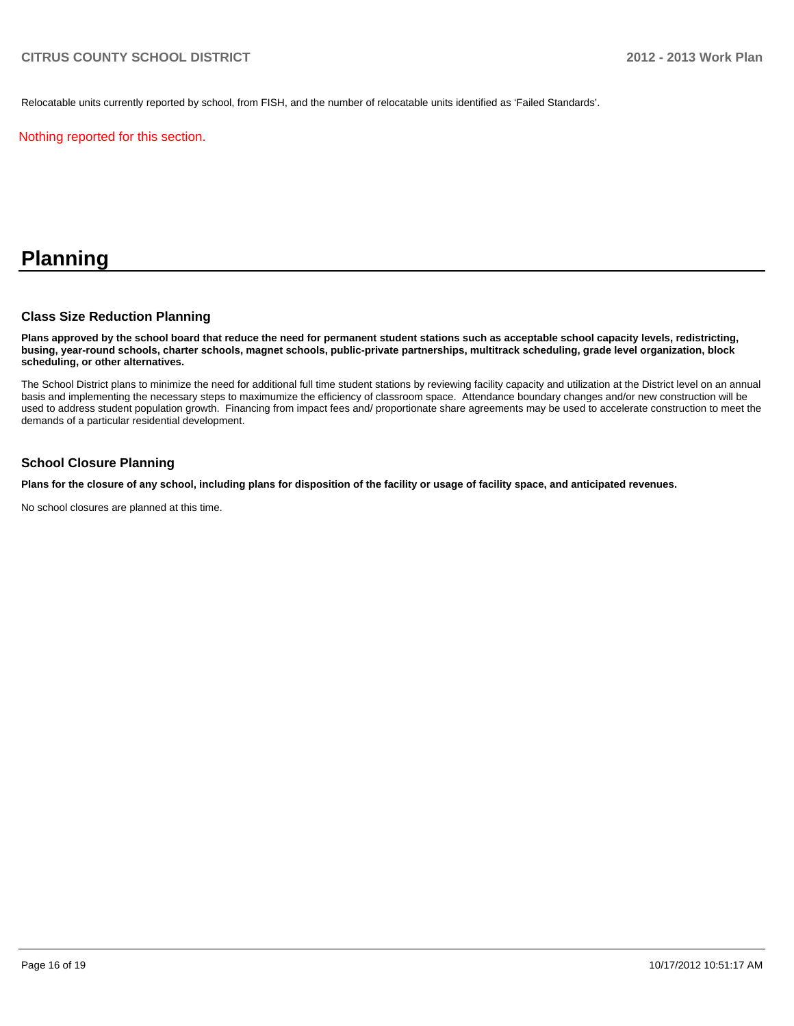Relocatable units currently reported by school, from FISH, and the number of relocatable units identified as 'Failed Standards'.

Nothing reported for this section.

# **Planning**

## **Class Size Reduction Planning**

**Plans approved by the school board that reduce the need for permanent student stations such as acceptable school capacity levels, redistricting, busing, year-round schools, charter schools, magnet schools, public-private partnerships, multitrack scheduling, grade level organization, block scheduling, or other alternatives.**

The School District plans to minimize the need for additional full time student stations by reviewing facility capacity and utilization at the District level on an annual basis and implementing the necessary steps to maximumize the efficiency of classroom space. Attendance boundary changes and/or new construction will be used to address student population growth. Financing from impact fees and/ proportionate share agreements may be used to accelerate construction to meet the demands of a particular residential development.

## **School Closure Planning**

**Plans for the closure of any school, including plans for disposition of the facility or usage of facility space, and anticipated revenues.**

No school closures are planned at this time.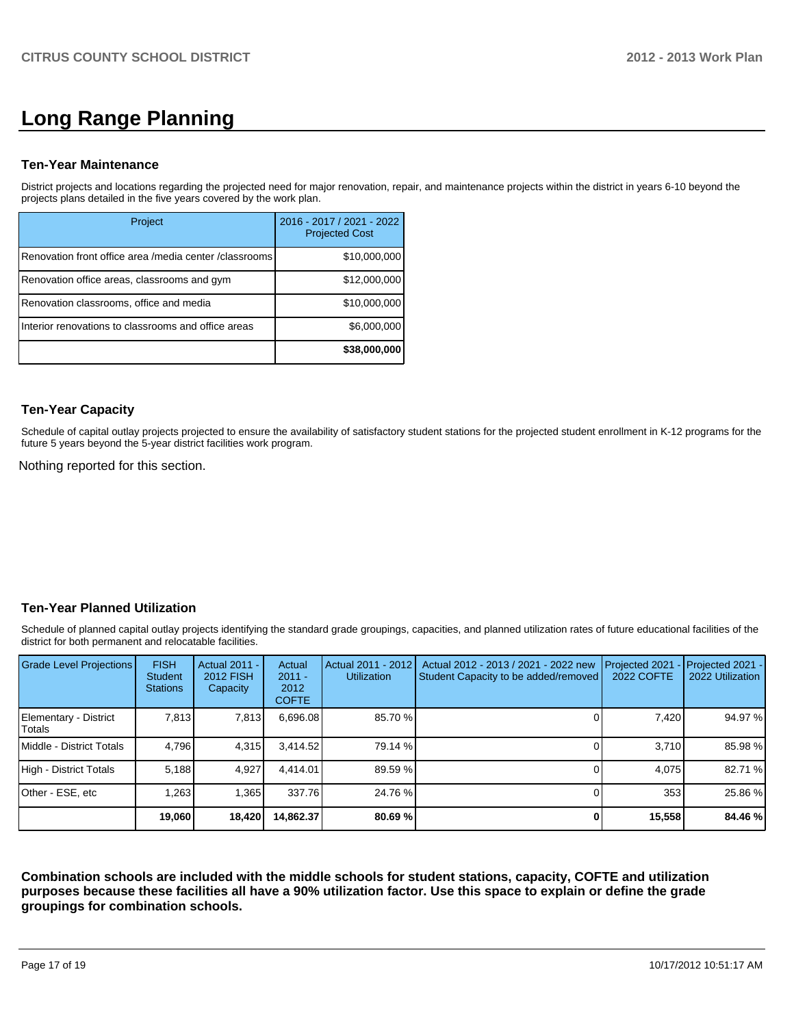# **Long Range Planning**

## **Ten-Year Maintenance**

District projects and locations regarding the projected need for major renovation, repair, and maintenance projects within the district in years 6-10 beyond the projects plans detailed in the five years covered by the work plan.

| Project                                                | 2016 - 2017 / 2021 - 2022<br><b>Projected Cost</b> |
|--------------------------------------------------------|----------------------------------------------------|
| Renovation front office area /media center /classrooms | \$10,000,000                                       |
| Renovation office areas, classrooms and gym            | \$12,000,000                                       |
| Renovation classrooms, office and media                | \$10,000,000                                       |
| Interior renovations to classrooms and office areas    | \$6,000,000                                        |
|                                                        | \$38,000,000                                       |

## **Ten-Year Capacity**

Schedule of capital outlay projects projected to ensure the availability of satisfactory student stations for the projected student enrollment in K-12 programs for the future 5 years beyond the 5-year district facilities work program.

Nothing reported for this section.

# **Ten-Year Planned Utilization**

Schedule of planned capital outlay projects identifying the standard grade groupings, capacities, and planned utilization rates of future educational facilities of the district for both permanent and relocatable facilities.

| Grade Level Projections         | <b>FISH</b><br>Student<br><b>Stations</b> | <b>Actual 2011 -</b><br>2012 FISH<br>Capacity | Actual<br>$2011 -$<br>2012<br><b>COFTE</b> | Actual 2011 - 2012<br><b>Utilization</b> | Actual 2012 - 2013 / 2021 - 2022 new<br>Student Capacity to be added/removed | Projected 2021<br>2022 COFTE | Projected 2021 -<br>2022 Utilization |
|---------------------------------|-------------------------------------------|-----------------------------------------------|--------------------------------------------|------------------------------------------|------------------------------------------------------------------------------|------------------------------|--------------------------------------|
| Elementary - District<br>Totals | 7.813                                     | 7,813                                         | 6.696.08                                   | 85.70 %                                  |                                                                              | 7,420                        | 94.97 %                              |
| Middle - District Totals        | 4.796                                     | 4,315                                         | 3.414.52                                   | 79.14 %                                  |                                                                              | 3.710                        | 85.98 %                              |
| High - District Totals          | 5,188                                     | 4,927                                         | 4.414.01                                   | 89.59 %                                  |                                                                              | 4.075                        | 82.71 %                              |
| Other - ESE, etc                | 1,263                                     | 1,365                                         | 337.76                                     | 24.76 %                                  |                                                                              | 353                          | 25.86 %                              |
|                                 | 19,060                                    | 18,420                                        | 14.862.37                                  | 80.69%                                   |                                                                              | 15,558                       | 84.46 %                              |

**Combination schools are included with the middle schools for student stations, capacity, COFTE and utilization purposes because these facilities all have a 90% utilization factor. Use this space to explain or define the grade groupings for combination schools.**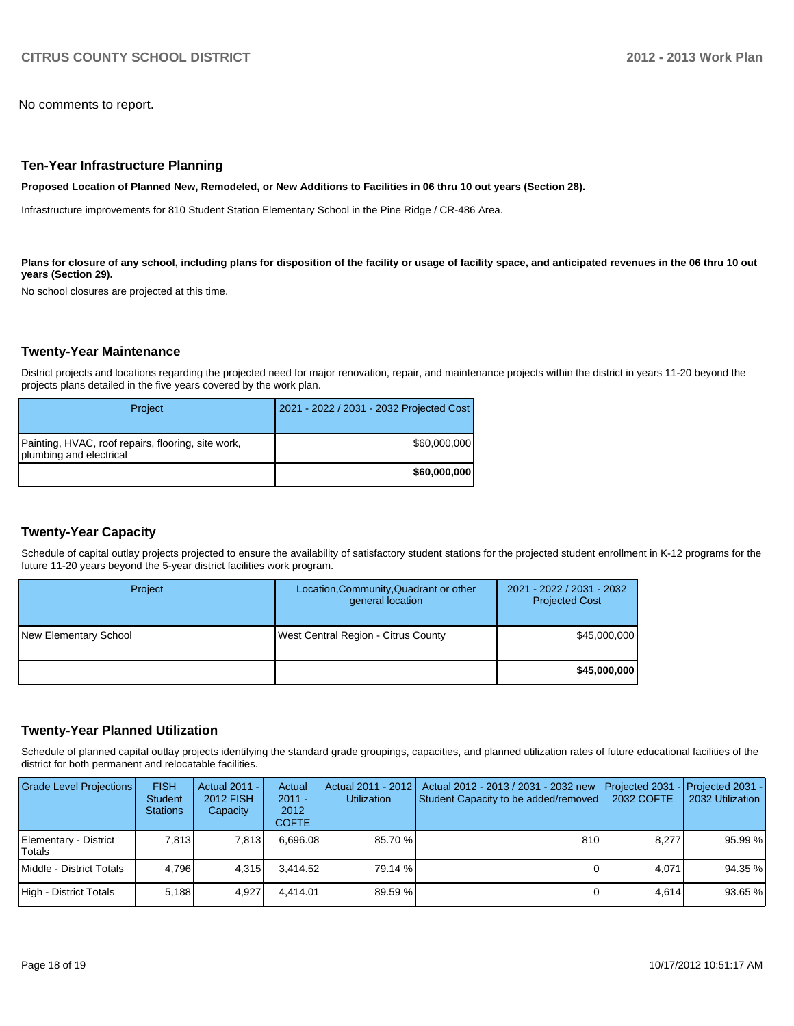No comments to report.

#### **Ten-Year Infrastructure Planning**

**Proposed Location of Planned New, Remodeled, or New Additions to Facilities in 06 thru 10 out years (Section 28).**

Infrastructure improvements for 810 Student Station Elementary School in the Pine Ridge / CR-486 Area.

Plans for closure of any school, including plans for disposition of the facility or usage of facility space, and anticipated revenues in the 06 thru 10 out **years (Section 29).**

No school closures are projected at this time.

#### **Twenty-Year Maintenance**

District projects and locations regarding the projected need for major renovation, repair, and maintenance projects within the district in years 11-20 beyond the projects plans detailed in the five years covered by the work plan.

| Project                                                                       | 2021 - 2022 / 2031 - 2032 Projected Cost |
|-------------------------------------------------------------------------------|------------------------------------------|
| Painting, HVAC, roof repairs, flooring, site work,<br>plumbing and electrical | \$60,000,000                             |
|                                                                               | \$60,000,000                             |

# **Twenty-Year Capacity**

Schedule of capital outlay projects projected to ensure the availability of satisfactory student stations for the projected student enrollment in K-12 programs for the future 11-20 years beyond the 5-year district facilities work program.

| Project               | Location, Community, Quadrant or other<br>general location | 2021 - 2022 / 2031 - 2032<br><b>Projected Cost</b> |
|-----------------------|------------------------------------------------------------|----------------------------------------------------|
| New Elementary School | West Central Region - Citrus County                        | \$45,000,000                                       |
|                       |                                                            | \$45,000,000                                       |

#### **Twenty-Year Planned Utilization**

Schedule of planned capital outlay projects identifying the standard grade groupings, capacities, and planned utilization rates of future educational facilities of the district for both permanent and relocatable facilities.

| <b>Grade Level Projections</b>  | <b>FISH</b><br><b>Student</b><br><b>Stations</b> | Actual 2011 -<br>2012 FISH<br>Capacity | Actual<br>$2011 -$<br>2012<br><b>COFTE</b> | <b>Utilization</b> | Actual 2011 - 2012   Actual 2012 - 2013 / 2031 - 2032 new<br>Student Capacity to be added/removed | <b>IProjected 2031</b><br>2032 COFTE | $-$ Projected 2031 -<br>2032 Utilization |
|---------------------------------|--------------------------------------------------|----------------------------------------|--------------------------------------------|--------------------|---------------------------------------------------------------------------------------------------|--------------------------------------|------------------------------------------|
| Elementary - District<br>Totals | 7.813                                            | 7,813                                  | 6.696.08                                   | 85.70 %            | 810                                                                                               | 8.277                                | 95.99 %                                  |
| Middle - District Totals        | 4,796                                            | 4.315                                  | 3.414.52                                   | 79.14 %            |                                                                                                   | 4.071                                | 94.35 %                                  |
| High - District Totals          | 5,188                                            | 4.927                                  | 4.414.01                                   | 89.59%             |                                                                                                   | 4.614                                | 93.65 %                                  |